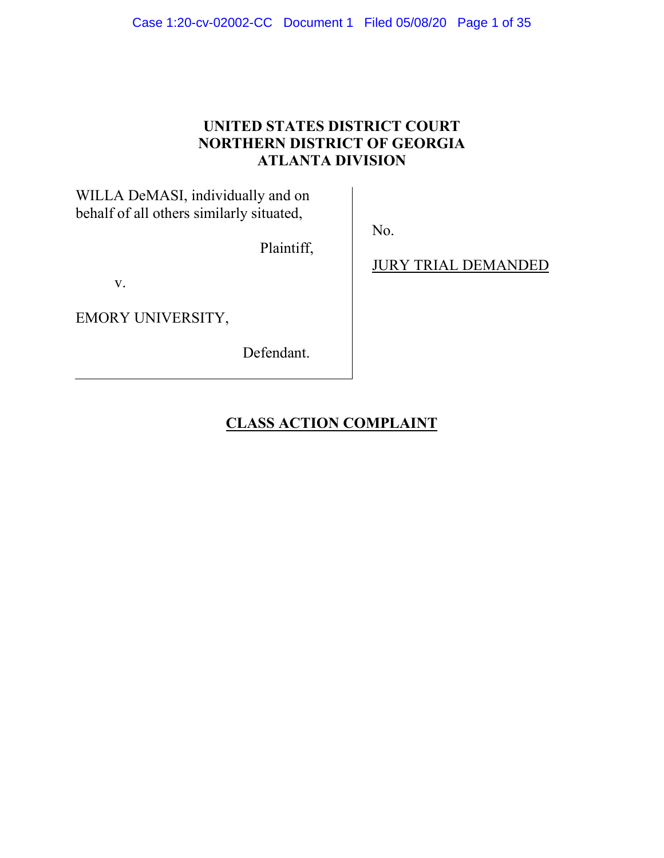# **UNITED STATES DISTRICT COURT NORTHERN DISTRICT OF GEORGIA ATLANTA DIVISION**

No.

WILLA DeMASI, individually and on behalf of all others similarly situated,

Plaintiff,

v.

EMORY UNIVERSITY,

Defendant.

JURY TRIAL DEMANDED

# **CLASS ACTION COMPLAINT**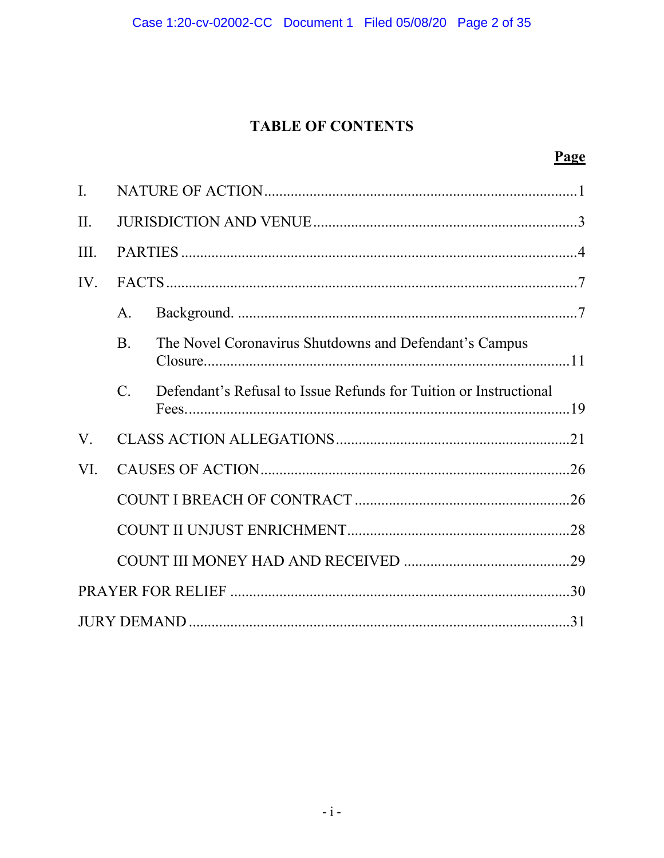# **TABLE OF CONTENTS**

| $\mathbf{I}$ . |                |                                                                   |  |  |  |  |  |  |
|----------------|----------------|-------------------------------------------------------------------|--|--|--|--|--|--|
| II.            |                |                                                                   |  |  |  |  |  |  |
| III.           |                |                                                                   |  |  |  |  |  |  |
| IV.            |                |                                                                   |  |  |  |  |  |  |
|                | A.             |                                                                   |  |  |  |  |  |  |
|                | $\mathbf{B}$ . | The Novel Coronavirus Shutdowns and Defendant's Campus            |  |  |  |  |  |  |
|                | $C_{\cdot}$    | Defendant's Refusal to Issue Refunds for Tuition or Instructional |  |  |  |  |  |  |
| V.             |                |                                                                   |  |  |  |  |  |  |
| VI.            |                |                                                                   |  |  |  |  |  |  |
|                |                |                                                                   |  |  |  |  |  |  |
|                |                |                                                                   |  |  |  |  |  |  |
|                |                |                                                                   |  |  |  |  |  |  |
|                |                |                                                                   |  |  |  |  |  |  |
|                |                |                                                                   |  |  |  |  |  |  |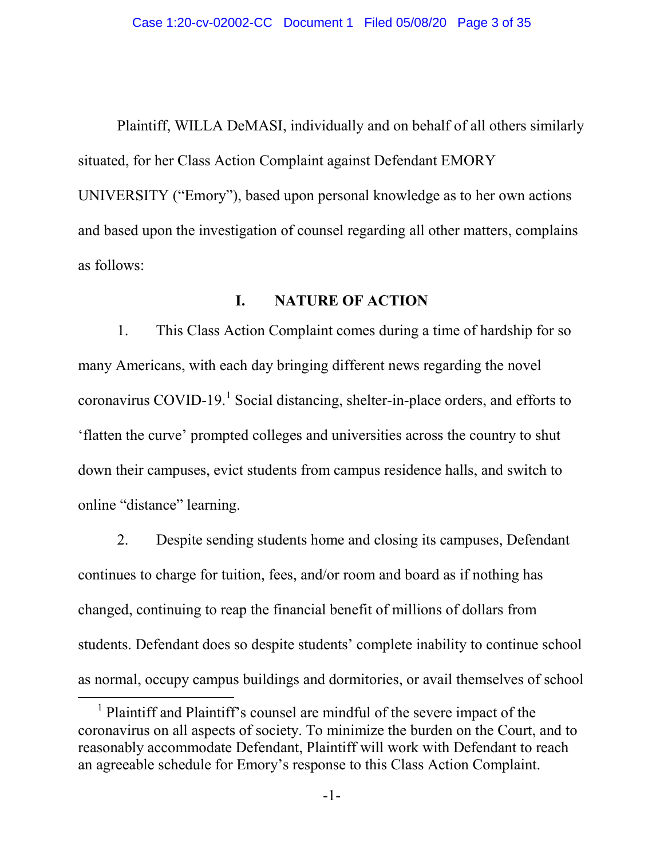Plaintiff, WILLA DeMASI, individually and on behalf of all others similarly situated, for her Class Action Complaint against Defendant EMORY UNIVERSITY ("Emory"), based upon personal knowledge as to her own actions and based upon the investigation of counsel regarding all other matters, complains as follows:

# **I. NATURE OF ACTION**

1. This Class Action Complaint comes during a time of hardship for so many Americans, with each day bringing different news regarding the novel coronavirus COVID-[1](#page-2-0)9.<sup>1</sup> Social distancing, shelter-in-place orders, and efforts to 'flatten the curve' prompted colleges and universities across the country to shut down their campuses, evict students from campus residence halls, and switch to online "distance" learning.

2. Despite sending students home and closing its campuses, Defendant continues to charge for tuition, fees, and/or room and board as if nothing has changed, continuing to reap the financial benefit of millions of dollars from students. Defendant does so despite students' complete inability to continue school as normal, occupy campus buildings and dormitories, or avail themselves of school

<span id="page-2-0"></span><sup>&</sup>lt;sup>1</sup> Plaintiff and Plaintiff's counsel are mindful of the severe impact of the coronavirus on all aspects of society. To minimize the burden on the Court, and to reasonably accommodate Defendant, Plaintiff will work with Defendant to reach an agreeable schedule for Emory's response to this Class Action Complaint.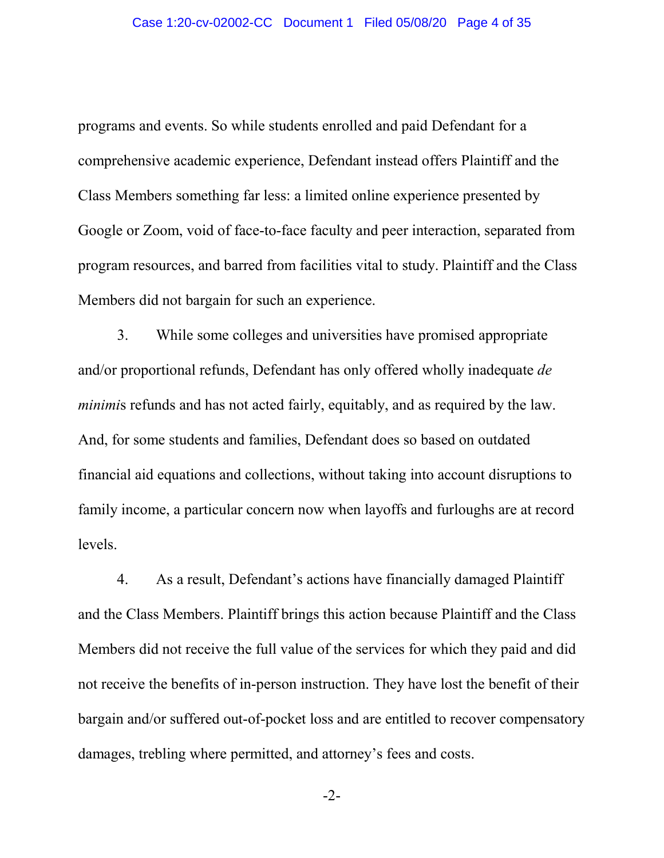programs and events. So while students enrolled and paid Defendant for a comprehensive academic experience, Defendant instead offers Plaintiff and the Class Members something far less: a limited online experience presented by Google or Zoom, void of face-to-face faculty and peer interaction, separated from program resources, and barred from facilities vital to study. Plaintiff and the Class Members did not bargain for such an experience.

3. While some colleges and universities have promised appropriate and/or proportional refunds, Defendant has only offered wholly inadequate *de minimi*s refunds and has not acted fairly, equitably, and as required by the law. And, for some students and families, Defendant does so based on outdated financial aid equations and collections, without taking into account disruptions to family income, a particular concern now when layoffs and furloughs are at record levels.

4. As a result, Defendant's actions have financially damaged Plaintiff and the Class Members. Plaintiff brings this action because Plaintiff and the Class Members did not receive the full value of the services for which they paid and did not receive the benefits of in-person instruction. They have lost the benefit of their bargain and/or suffered out-of-pocket loss and are entitled to recover compensatory damages, trebling where permitted, and attorney's fees and costs.

-2-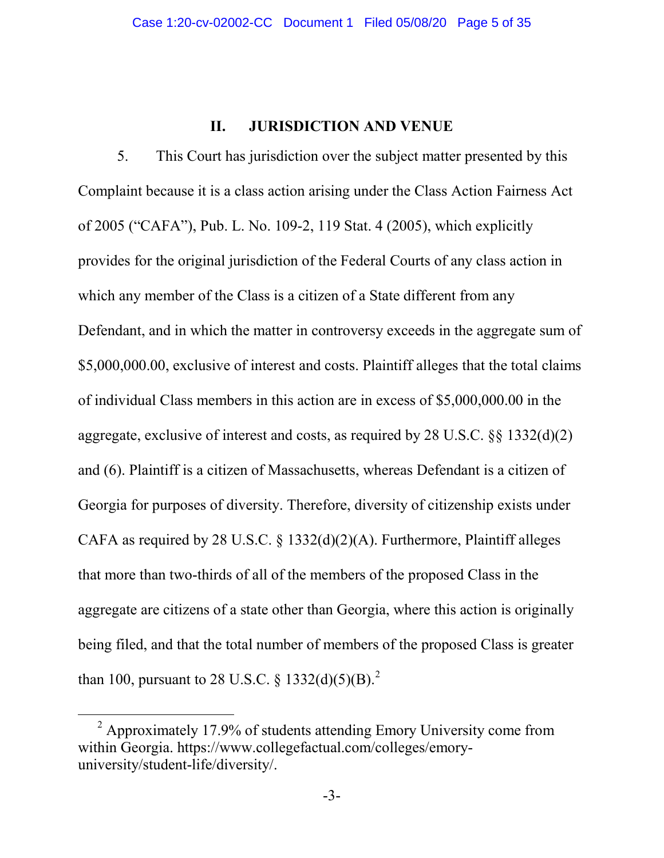# **II. JURISDICTION AND VENUE**

5. This Court has jurisdiction over the subject matter presented by this Complaint because it is a class action arising under the Class Action Fairness Act of 2005 ("CAFA"), Pub. L. No. 109-2, 119 Stat. 4 (2005), which explicitly provides for the original jurisdiction of the Federal Courts of any class action in which any member of the Class is a citizen of a State different from any Defendant, and in which the matter in controversy exceeds in the aggregate sum of \$5,000,000.00, exclusive of interest and costs. Plaintiff alleges that the total claims of individual Class members in this action are in excess of \$5,000,000.00 in the aggregate, exclusive of interest and costs, as required by 28 U.S.C. §§ 1332(d)(2) and (6). Plaintiff is a citizen of Massachusetts, whereas Defendant is a citizen of Georgia for purposes of diversity. Therefore, diversity of citizenship exists under CAFA as required by 28 U.S.C. § 1332(d)(2)(A). Furthermore, Plaintiff alleges that more than two-thirds of all of the members of the proposed Class in the aggregate are citizens of a state other than Georgia, where this action is originally being filed, and that the total number of members of the proposed Class is greater than 100, pursuant to [2](#page-4-0)8 U.S.C. § 1332(d)(5)(B).<sup>2</sup>

<span id="page-4-0"></span> $2$  Approximately 17.9% of students attending Emory University come from within Georgia. https://www.collegefactual.com/colleges/emoryuniversity/student-life/diversity/.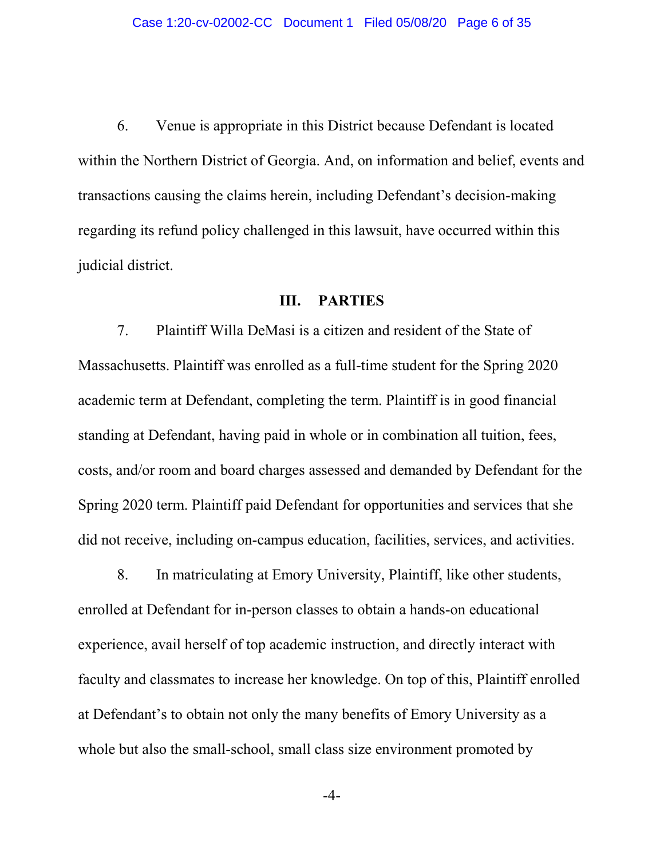6. Venue is appropriate in this District because Defendant is located within the Northern District of Georgia. And, on information and belief, events and transactions causing the claims herein, including Defendant's decision-making regarding its refund policy challenged in this lawsuit, have occurred within this judicial district.

## **III. PARTIES**

7. Plaintiff Willa DeMasi is a citizen and resident of the State of Massachusetts. Plaintiff was enrolled as a full-time student for the Spring 2020 academic term at Defendant, completing the term. Plaintiff is in good financial standing at Defendant, having paid in whole or in combination all tuition, fees, costs, and/or room and board charges assessed and demanded by Defendant for the Spring 2020 term. Plaintiff paid Defendant for opportunities and services that she did not receive, including on-campus education, facilities, services, and activities.

8. In matriculating at Emory University, Plaintiff, like other students, enrolled at Defendant for in-person classes to obtain a hands-on educational experience, avail herself of top academic instruction, and directly interact with faculty and classmates to increase her knowledge. On top of this, Plaintiff enrolled at Defendant's to obtain not only the many benefits of Emory University as a whole but also the small-school, small class size environment promoted by

-4-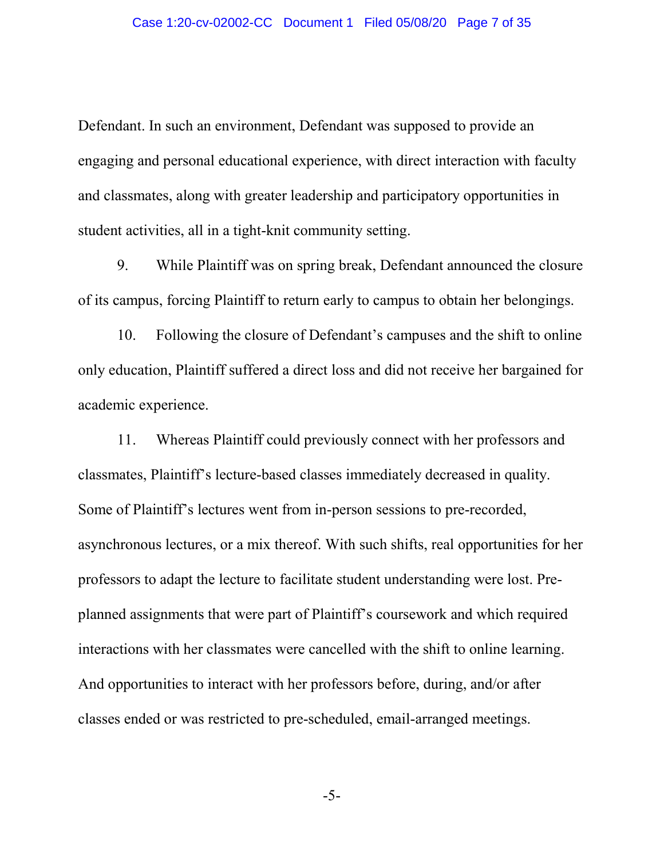Defendant. In such an environment, Defendant was supposed to provide an engaging and personal educational experience, with direct interaction with faculty and classmates, along with greater leadership and participatory opportunities in student activities, all in a tight-knit community setting.

9. While Plaintiff was on spring break, Defendant announced the closure of its campus, forcing Plaintiff to return early to campus to obtain her belongings.

10. Following the closure of Defendant's campuses and the shift to online only education, Plaintiff suffered a direct loss and did not receive her bargained for academic experience.

11. Whereas Plaintiff could previously connect with her professors and classmates, Plaintiff's lecture-based classes immediately decreased in quality. Some of Plaintiff's lectures went from in-person sessions to pre-recorded, asynchronous lectures, or a mix thereof. With such shifts, real opportunities for her professors to adapt the lecture to facilitate student understanding were lost. Preplanned assignments that were part of Plaintiff's coursework and which required interactions with her classmates were cancelled with the shift to online learning. And opportunities to interact with her professors before, during, and/or after classes ended or was restricted to pre-scheduled, email-arranged meetings.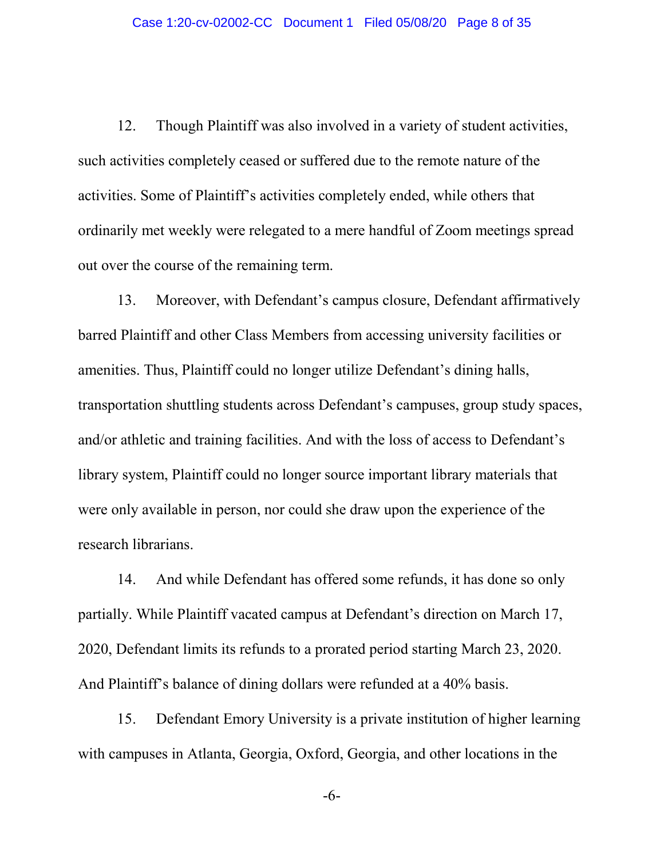12. Though Plaintiff was also involved in a variety of student activities, such activities completely ceased or suffered due to the remote nature of the activities. Some of Plaintiff's activities completely ended, while others that ordinarily met weekly were relegated to a mere handful of Zoom meetings spread out over the course of the remaining term.

13. Moreover, with Defendant's campus closure, Defendant affirmatively barred Plaintiff and other Class Members from accessing university facilities or amenities. Thus, Plaintiff could no longer utilize Defendant's dining halls, transportation shuttling students across Defendant's campuses, group study spaces, and/or athletic and training facilities. And with the loss of access to Defendant's library system, Plaintiff could no longer source important library materials that were only available in person, nor could she draw upon the experience of the research librarians.

14. And while Defendant has offered some refunds, it has done so only partially. While Plaintiff vacated campus at Defendant's direction on March 17, 2020, Defendant limits its refunds to a prorated period starting March 23, 2020. And Plaintiff's balance of dining dollars were refunded at a 40% basis.

15. Defendant Emory University is a private institution of higher learning with campuses in Atlanta, Georgia, Oxford, Georgia, and other locations in the

-6-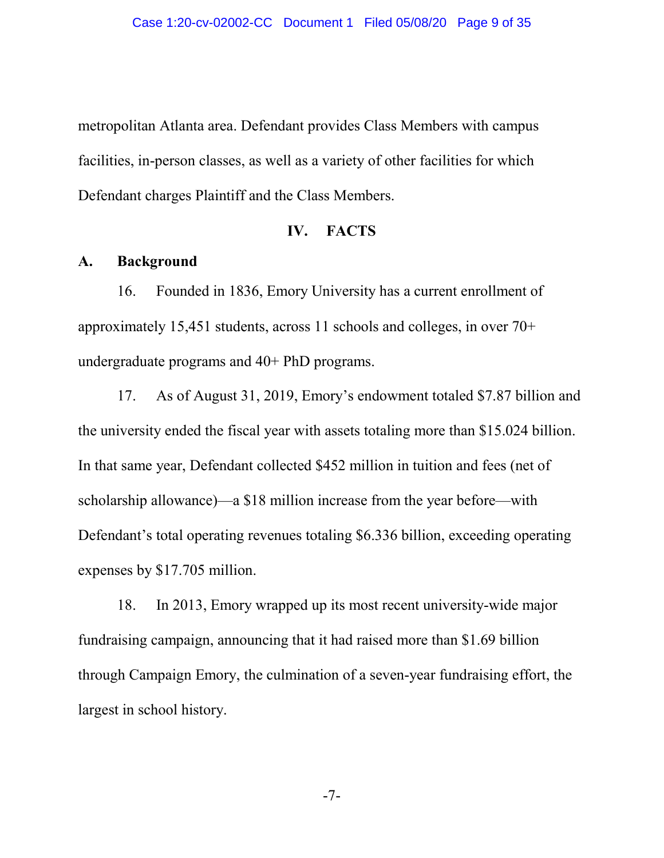metropolitan Atlanta area. Defendant provides Class Members with campus facilities, in-person classes, as well as a variety of other facilities for which Defendant charges Plaintiff and the Class Members.

### **IV. FACTS**

## **A. Background**

16. Founded in 1836, Emory University has a current enrollment of approximately 15,451 students, across 11 schools and colleges, in over 70+ undergraduate programs and 40+ PhD programs.

17. As of August 31, 2019, Emory's endowment totaled \$7.87 billion and the university ended the fiscal year with assets totaling more than \$15.024 billion. In that same year, Defendant collected \$452 million in tuition and fees (net of scholarship allowance)—a \$18 million increase from the year before—with Defendant's total operating revenues totaling \$6.336 billion, exceeding operating expenses by \$17.705 million.

18. In 2013, Emory wrapped up its most recent university-wide major fundraising campaign, announcing that it had raised more than \$1.69 billion through Campaign Emory, the culmination of a seven-year fundraising effort, the largest in school history.

-7-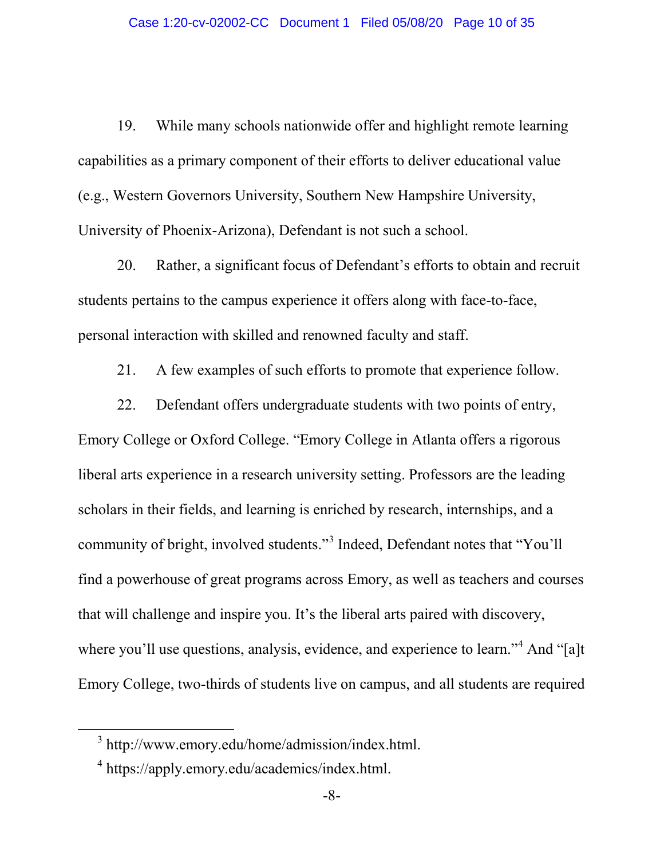19. While many schools nationwide offer and highlight remote learning capabilities as a primary component of their efforts to deliver educational value (e.g., Western Governors University, Southern New Hampshire University, University of Phoenix-Arizona), Defendant is not such a school.

20. Rather, a significant focus of Defendant's efforts to obtain and recruit students pertains to the campus experience it offers along with face-to-face, personal interaction with skilled and renowned faculty and staff.

21. A few examples of such efforts to promote that experience follow.

22. Defendant offers undergraduate students with two points of entry, Emory College or Oxford College. "Emory College in Atlanta offers a rigorous liberal arts experience in a research university setting. Professors are the leading scholars in their fields, and learning is enriched by research, internships, and a community of bright, involved students."[3](#page-9-0) Indeed, Defendant notes that "You'll find a powerhouse of great programs across Emory, as well as teachers and courses that will challenge and inspire you. It's the liberal arts paired with discovery, where you'll use questions, analysis, evidence, and experience to learn."<sup>[4](#page-9-1)</sup> And "[a]t Emory College, two-thirds of students live on campus, and all students are required

<span id="page-9-0"></span> <sup>3</sup> http://www.emory.edu/home/admission/index.html.

<span id="page-9-1"></span><sup>4</sup> https://apply.emory.edu/academics/index.html.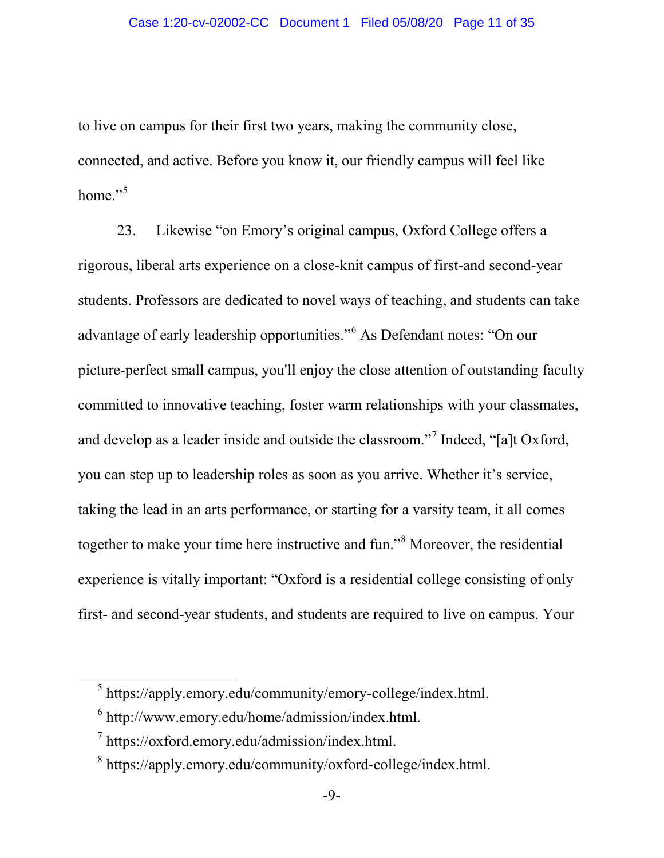to live on campus for their first two years, making the community close, connected, and active. Before you know it, our friendly campus will feel like home." $5$ 

23. Likewise "on Emory's original campus, Oxford College offers a rigorous, liberal arts experience on a close-knit campus of first-and second-year students. Professors are dedicated to novel ways of teaching, and students can take advantage of early leadership opportunities."[6](#page-10-1) As Defendant notes: "On our picture-perfect small campus, you'll enjoy the close attention of outstanding faculty committed to innovative teaching, foster warm relationships with your classmates, and develop as a leader inside and outside the classroom."[7](#page-10-2) Indeed, "[a]t Oxford, you can step up to leadership roles as soon as you arrive. Whether it's service, taking the lead in an arts performance, or starting for a varsity team, it all comes together to make your time here instructive and fun."[8](#page-10-3) Moreover, the residential experience is vitally important: "Oxford is a residential college consisting of only first- and second-year students, and students are required to live on campus. Your

<span id="page-10-0"></span> $5$  https://apply.emory.edu/community/emory-college/index.html.

<span id="page-10-1"></span> $6$  http://www.emory.edu/home/admission/index.html.

<span id="page-10-2"></span> $\frac{7}{1}$  https://oxford.emory.edu/admission/index.html.

<span id="page-10-3"></span><sup>8</sup> https://apply.emory.edu/community/oxford-college/index.html.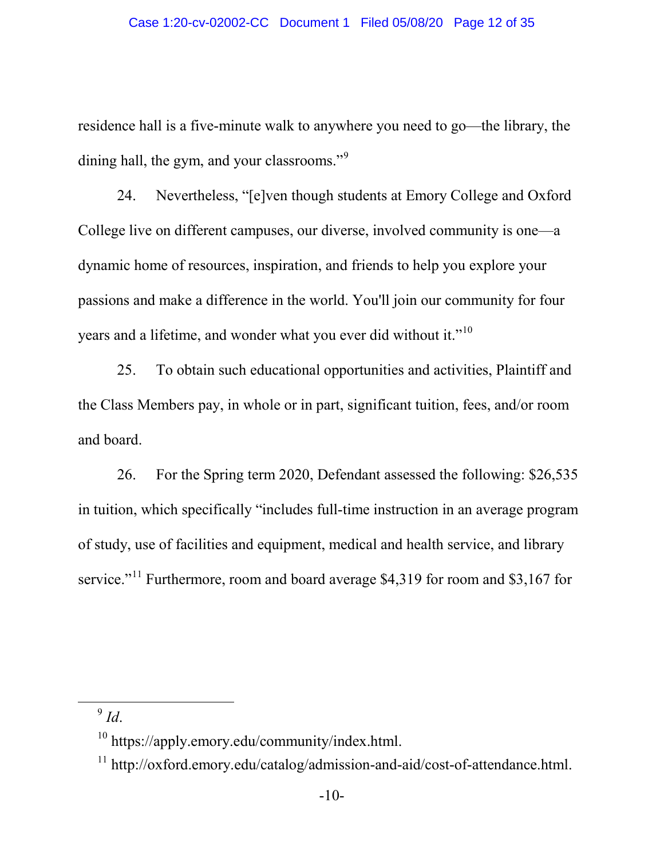residence hall is a five-minute walk to anywhere you need to go—the library, the dining hall, the gym, and your classrooms."<sup>[9](#page-11-0)</sup>

24. Nevertheless, "[e]ven though students at Emory College and Oxford College live on different campuses, our diverse, involved community is one—a dynamic home of resources, inspiration, and friends to help you explore your passions and make a difference in the world. You'll join our community for four years and a lifetime, and wonder what you ever did without it."<sup>[10](#page-11-1)</sup>

25. To obtain such educational opportunities and activities, Plaintiff and the Class Members pay, in whole or in part, significant tuition, fees, and/or room and board.

26. For the Spring term 2020, Defendant assessed the following: \$26,535 in tuition, which specifically "includes full-time instruction in an average program of study, use of facilities and equipment, medical and health service, and library service."<sup>[11](#page-11-2)</sup> Furthermore, room and board average \$4,319 for room and \$3,167 for

<span id="page-11-0"></span> <sup>9</sup> *Id*.

<span id="page-11-1"></span> $10$  https://apply.emory.edu/community/index.html.

<span id="page-11-2"></span> $11 \text{ http://oxford.emory.edu/catalog/admission-and-aid/cost-of-attendance.html.}$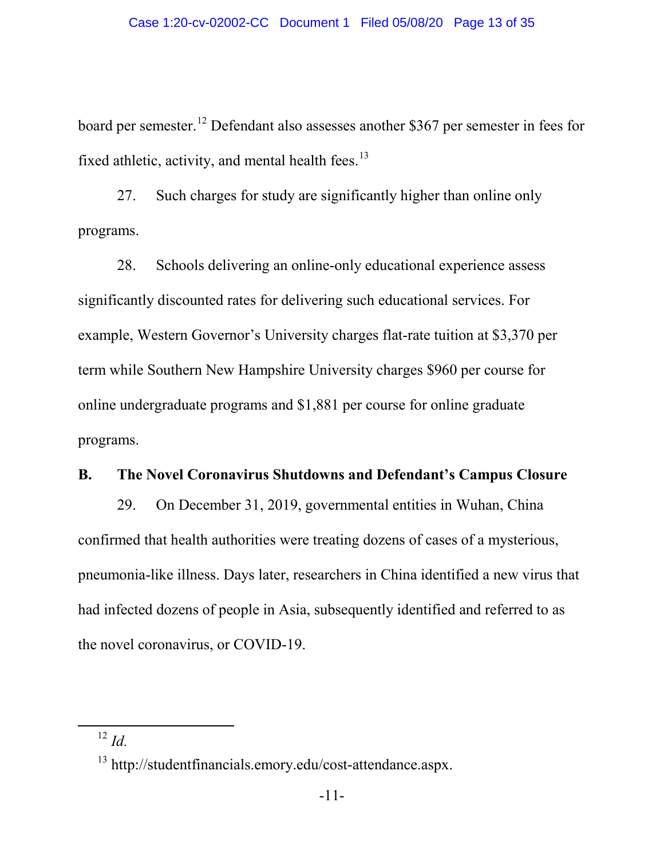board per semester.[12](#page-12-0) Defendant also assesses another \$367 per semester in fees for fixed athletic, activity, and mental health fees. $^{13}$  $^{13}$  $^{13}$ 

27. Such charges for study are significantly higher than online only programs.

28. Schools delivering an online-only educational experience assess significantly discounted rates for delivering such educational services. For example, Western Governor's University charges flat-rate tuition at \$3,370 per term while Southern New Hampshire University charges \$960 per course for online undergraduate programs and \$1,881 per course for online graduate programs.

### **B. The Novel Coronavirus Shutdowns and Defendant's Campus Closure**

29. On December 31, 2019, governmental entities in Wuhan, China confirmed that health authorities were treating dozens of cases of a mysterious, pneumonia-like illness. Days later, researchers in China identified a new virus that had infected dozens of people in Asia, subsequently identified and referred to as the novel coronavirus, or COVID-19.

<span id="page-12-0"></span> <sup>12</sup> *Id.*

<span id="page-12-1"></span><sup>&</sup>lt;sup>13</sup> http://studentfinancials.emory.edu/cost-attendance.aspx.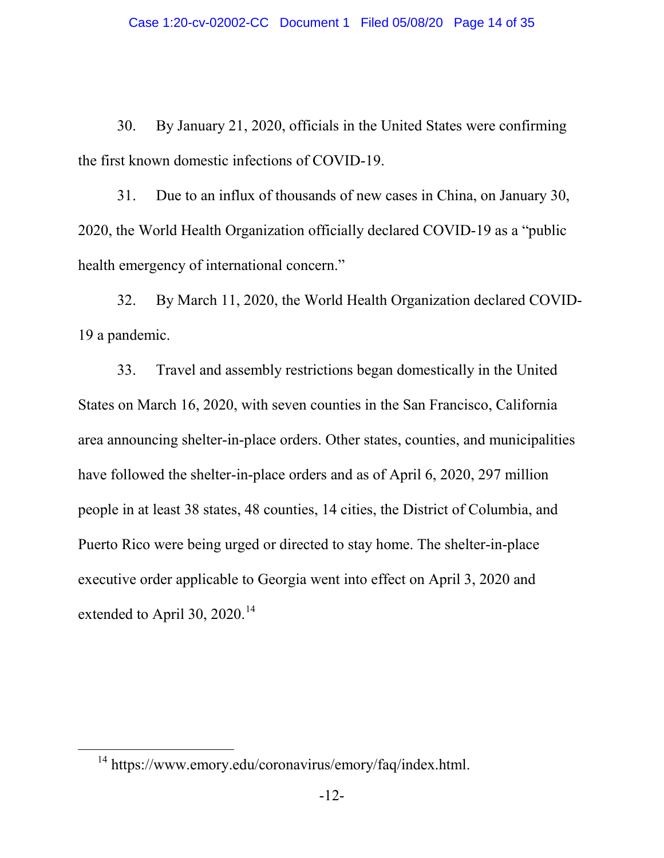30. By January 21, 2020, officials in the United States were confirming the first known domestic infections of COVID-19.

31. Due to an influx of thousands of new cases in China, on January 30, 2020, the World Health Organization officially declared COVID-19 as a "public health emergency of international concern."

32. By March 11, 2020, the World Health Organization declared COVID-19 a pandemic.

33. Travel and assembly restrictions began domestically in the United States on March 16, 2020, with seven counties in the San Francisco, California area announcing shelter-in-place orders. Other states, counties, and municipalities have followed the shelter-in-place orders and as of April 6, 2020, 297 million people in at least 38 states, 48 counties, 14 cities, the District of Columbia, and Puerto Rico were being urged or directed to stay home. The shelter-in-place executive order applicable to Georgia went into effect on April 3, 2020 and extended to April 30,  $2020^{14}$  $2020^{14}$  $2020^{14}$ 

<span id="page-13-0"></span><sup>&</sup>lt;sup>14</sup> https://www.emory.edu/coronavirus/emory/faq/index.html.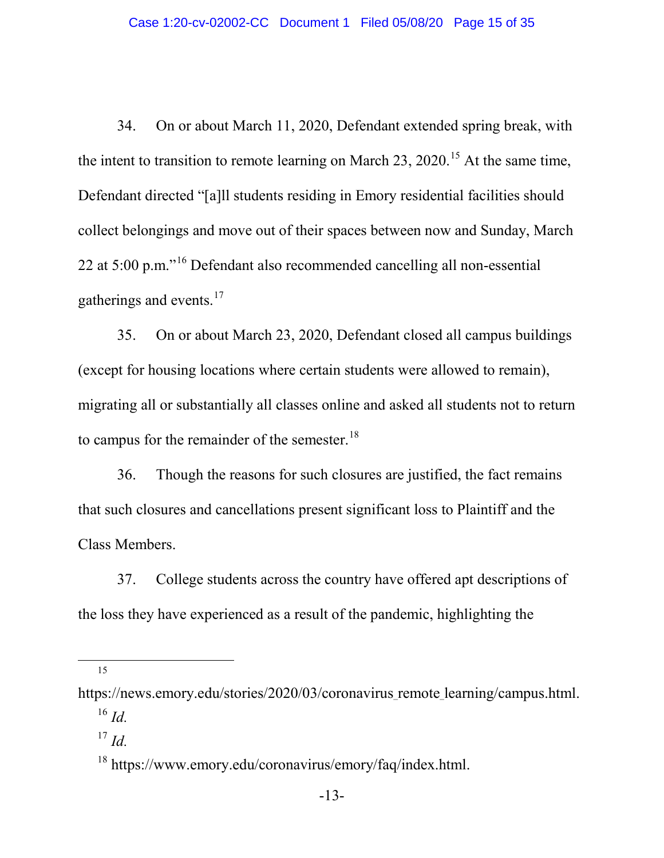34. On or about March 11, 2020, Defendant extended spring break, with the intent to transition to remote learning on March 23, 2020.<sup>[15](#page-14-0)</sup> At the same time, Defendant directed "[a]ll students residing in Emory residential facilities should collect belongings and move out of their spaces between now and Sunday, March 22 at 5:00 p.m."[16](#page-14-1) Defendant also recommended cancelling all non-essential gatherings and events.<sup>[17](#page-14-2)</sup>

35. On or about March 23, 2020, Defendant closed all campus buildings (except for housing locations where certain students were allowed to remain), migrating all or substantially all classes online and asked all students not to return to campus for the remainder of the semester.<sup>[18](#page-14-3)</sup>

36. Though the reasons for such closures are justified, the fact remains that such closures and cancellations present significant loss to Plaintiff and the Class Members.

37. College students across the country have offered apt descriptions of the loss they have experienced as a result of the pandemic, highlighting the

15

<sup>17</sup> *Id.*

<span id="page-14-2"></span><span id="page-14-1"></span><span id="page-14-0"></span>https://news.emory.edu/stories/2020/03/coronavirus remote learning/campus.html.  $^{16}$  *Id.* 

<span id="page-14-3"></span><sup>&</sup>lt;sup>18</sup> https://www.emory.edu/coronavirus/emory/faq/index.html.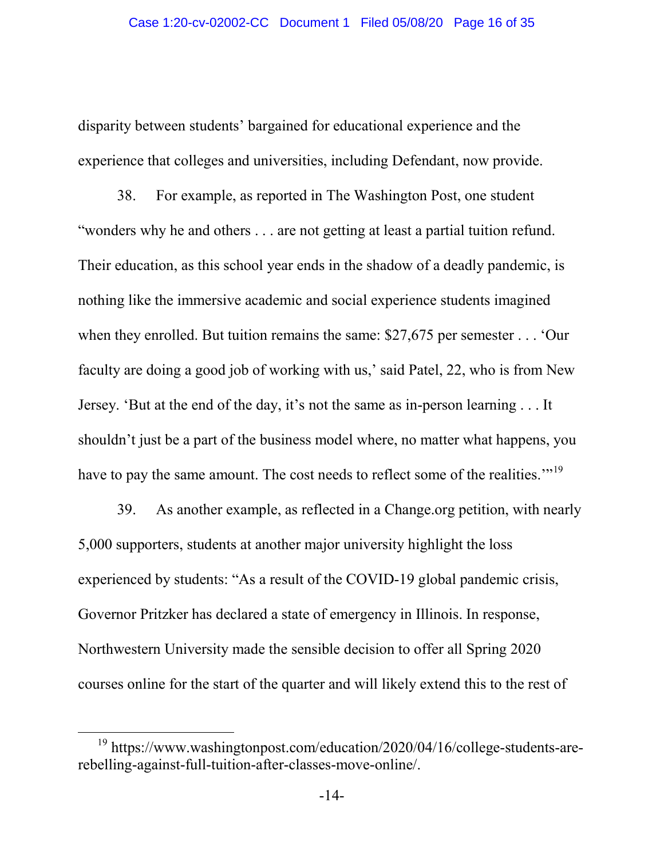disparity between students' bargained for educational experience and the experience that colleges and universities, including Defendant, now provide.

38. For example, as reported in The Washington Post, one student "wonders why he and others . . . are not getting at least a partial tuition refund. Their education, as this school year ends in the shadow of a deadly pandemic, is nothing like the immersive academic and social experience students imagined when they enrolled. But tuition remains the same: \$27,675 per semester . . . 'Our faculty are doing a good job of working with us,' said Patel, 22, who is from New Jersey. 'But at the end of the day, it's not the same as in-person learning . . . It shouldn't just be a part of the business model where, no matter what happens, you have to pay the same amount. The cost needs to reflect some of the realities."<sup>[19](#page-15-0)</sup>

39. As another example, as reflected in a Change.org petition, with nearly 5,000 supporters, students at another major university highlight the loss experienced by students: "As a result of the COVID-19 global pandemic crisis, Governor Pritzker has declared a state of emergency in Illinois. In response, Northwestern University made the sensible decision to offer all Spring 2020 courses online for the start of the quarter and will likely extend this to the rest of

<span id="page-15-0"></span> <sup>19</sup> https://www.washingtonpost.com/education/2020/04/16/college-students-arerebelling-against-full-tuition-after-classes-move-online/.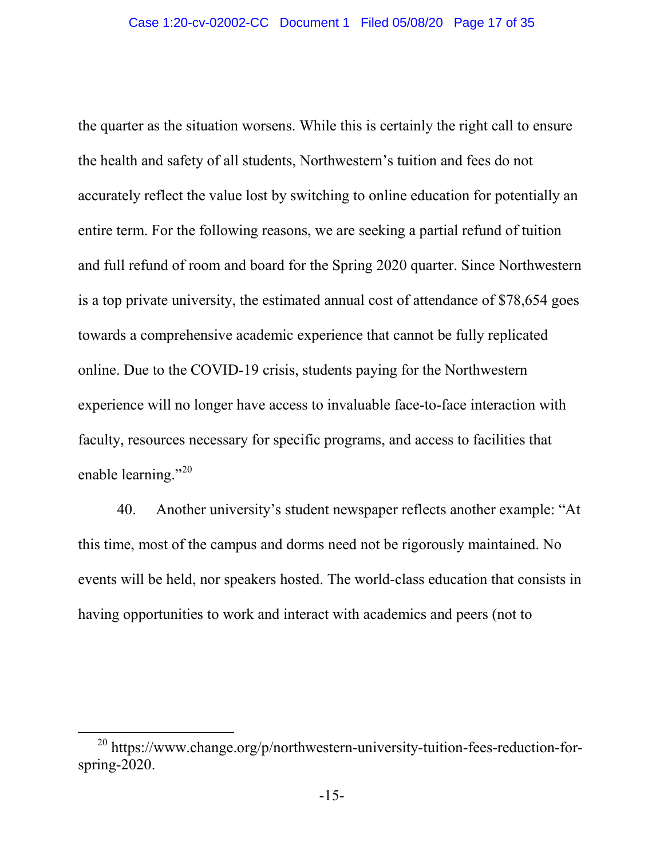the quarter as the situation worsens. While this is certainly the right call to ensure the health and safety of all students, Northwestern's tuition and fees do not accurately reflect the value lost by switching to online education for potentially an entire term. For the following reasons, we are seeking a partial refund of tuition and full refund of room and board for the Spring 2020 quarter. Since Northwestern is a top private university, the estimated annual cost of attendance of \$78,654 goes towards a comprehensive academic experience that cannot be fully replicated online. Due to the COVID-19 crisis, students paying for the Northwestern experience will no longer have access to invaluable face-to-face interaction with faculty, resources necessary for specific programs, and access to facilities that enable learning."<sup>[20](#page-16-0)</sup>

40. Another university's student newspaper reflects another example: "At this time, most of the campus and dorms need not be rigorously maintained. No events will be held, nor speakers hosted. The world-class education that consists in having opportunities to work and interact with academics and peers (not to

<span id="page-16-0"></span><sup>&</sup>lt;sup>20</sup> https://www.change.org/p/northwestern-university-tuition-fees-reduction-forspring-2020.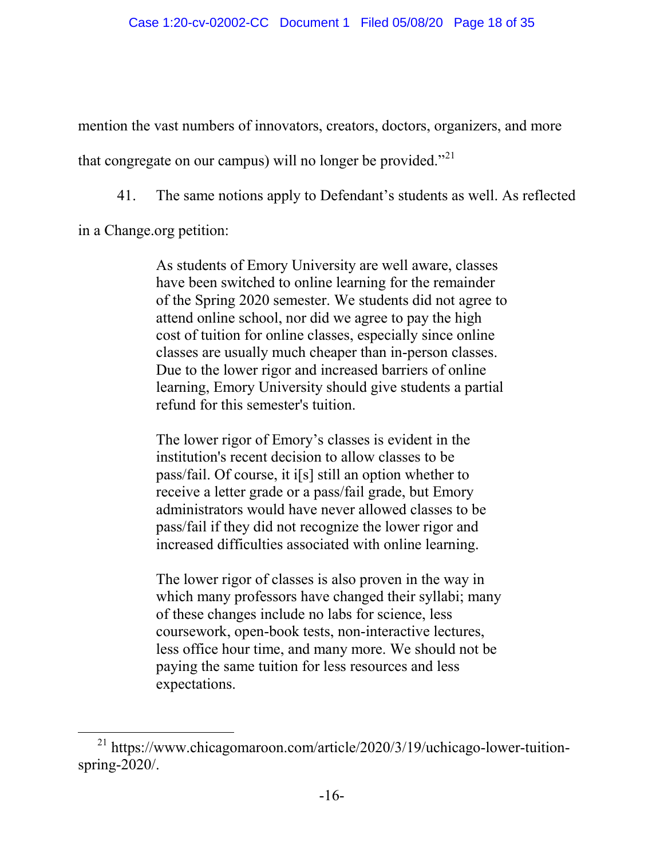mention the vast numbers of innovators, creators, doctors, organizers, and more that congregate on our campus) will no longer be provided."<sup>[21](#page-17-0)</sup>

41. The same notions apply to Defendant's students as well. As reflected

in a Change.org petition:

As students of Emory University are well aware, classes have been switched to online learning for the remainder of the Spring 2020 semester. We students did not agree to attend online school, nor did we agree to pay the high cost of tuition for online classes, especially since online classes are usually much cheaper than in-person classes. Due to the lower rigor and increased barriers of online learning, Emory University should give students a partial refund for this semester's tuition.

The lower rigor of Emory's classes is evident in the institution's recent decision to allow classes to be pass/fail. Of course, it i[s] still an option whether to receive a letter grade or a pass/fail grade, but Emory administrators would have never allowed classes to be pass/fail if they did not recognize the lower rigor and increased difficulties associated with online learning.

The lower rigor of classes is also proven in the way in which many professors have changed their syllabi; many of these changes include no labs for science, less coursework, open-book tests, non-interactive lectures, less office hour time, and many more. We should not be paying the same tuition for less resources and less expectations.

<span id="page-17-0"></span> <sup>21</sup> https://www.chicagomaroon.com/article/2020/3/19/uchicago-lower-tuitionspring-2020/.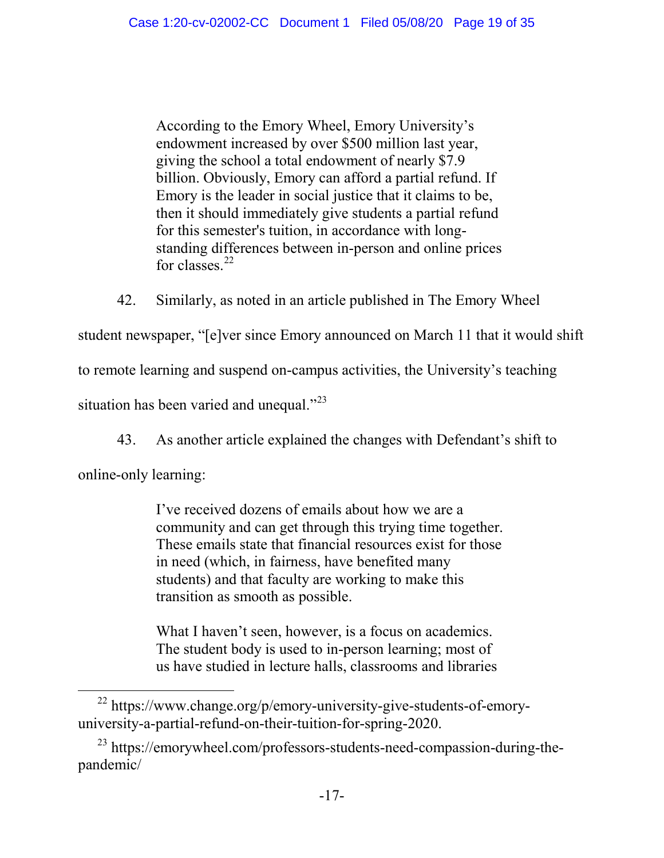According to the Emory Wheel, Emory University's endowment increased by over \$500 million last year, giving the school a total endowment of nearly \$7.9 billion. Obviously, Emory can afford a partial refund. If Emory is the leader in social justice that it claims to be, then it should immediately give students a partial refund for this semester's tuition, in accordance with longstanding differences between in-person and online prices for classes. $^{22}$  $^{22}$  $^{22}$ 

42. Similarly, as noted in an article published in The Emory Wheel student newspaper, "[e]ver since Emory announced on March 11 that it would shift to remote learning and suspend on-campus activities, the University's teaching situation has been varied and unequal."<sup>23</sup>

43. As another article explained the changes with Defendant's shift to

online-only learning:

I've received dozens of emails about how we are a community and can get through this trying time together. These emails state that financial resources exist for those in need (which, in fairness, have benefited many students) and that faculty are working to make this transition as smooth as possible.

What I haven't seen, however, is a focus on academics. The student body is used to in-person learning; most of us have studied in lecture halls, classrooms and libraries

<span id="page-18-0"></span> <sup>22</sup> https://www.change.org/p/emory-university-give-students-of-emoryuniversity-a-partial-refund-on-their-tuition-for-spring-2020.

<span id="page-18-1"></span><sup>&</sup>lt;sup>23</sup> https://emorywheel.com/professors-students-need-compassion-during-thepandemic/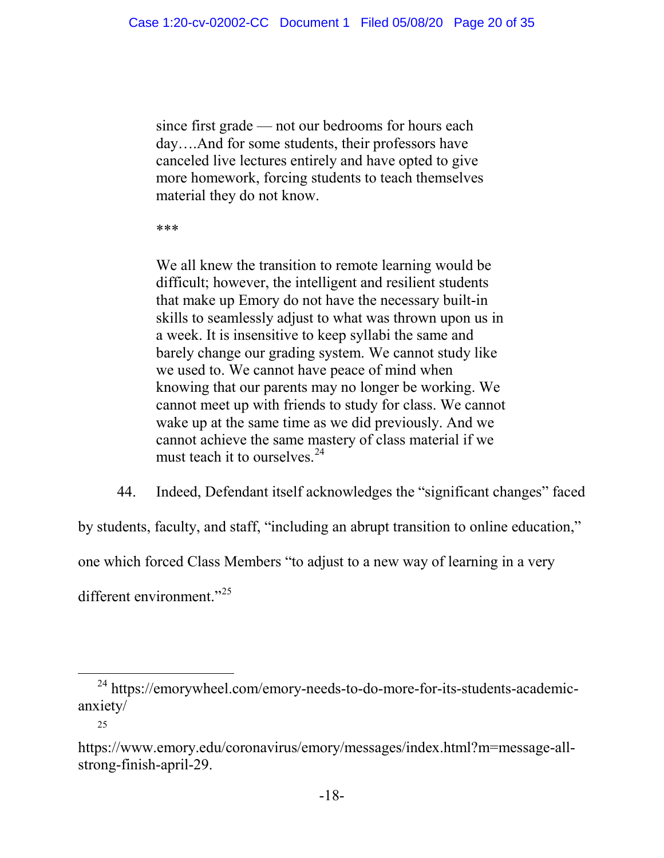since first grade — not our bedrooms for hours each day….And for some students, their professors have canceled live lectures entirely and have opted to give more homework, forcing students to teach themselves material they do not know.

\*\*\*

We all knew the transition to remote learning would be difficult; however, the intelligent and resilient students that make up Emory do not have the necessary built-in skills to seamlessly adjust to what was thrown upon us in a week. It is insensitive to keep syllabi the same and barely change our grading system. We cannot study like we used to. We cannot have peace of mind when knowing that our parents may no longer be working. We cannot meet up with friends to study for class. We cannot wake up at the same time as we did previously. And we cannot achieve the same mastery of class material if we must teach it to ourselves.<sup>[24](#page-19-0)</sup>

44. Indeed, Defendant itself acknowledges the "significant changes" faced

by students, faculty, and staff, "including an abrupt transition to online education,"

one which forced Class Members "to adjust to a new way of learning in a very

different environment."<sup>[25](#page-19-1)</sup>

<span id="page-19-0"></span> <sup>24</sup> https://emorywheel.com/emory-needs-to-do-more-for-its-students-academicanxiety/

<sup>25</sup>

<span id="page-19-1"></span>https://www.emory.edu/coronavirus/emory/messages/index.html?m=message-allstrong-finish-april-29.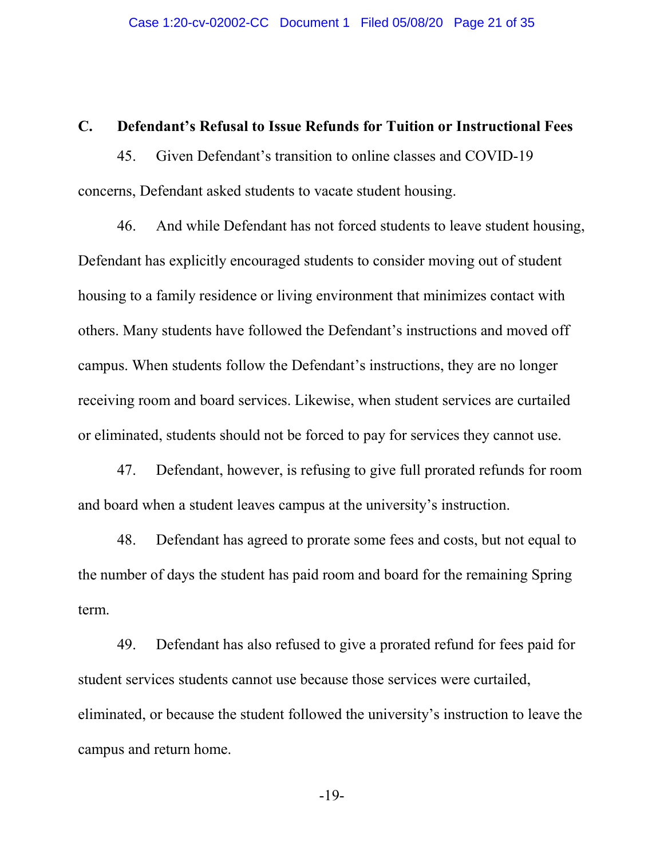### **C. Defendant's Refusal to Issue Refunds for Tuition or Instructional Fees**

45. Given Defendant's transition to online classes and COVID-19 concerns, Defendant asked students to vacate student housing.

46. And while Defendant has not forced students to leave student housing, Defendant has explicitly encouraged students to consider moving out of student housing to a family residence or living environment that minimizes contact with others. Many students have followed the Defendant's instructions and moved off campus. When students follow the Defendant's instructions, they are no longer receiving room and board services. Likewise, when student services are curtailed or eliminated, students should not be forced to pay for services they cannot use.

47. Defendant, however, is refusing to give full prorated refunds for room and board when a student leaves campus at the university's instruction.

48. Defendant has agreed to prorate some fees and costs, but not equal to the number of days the student has paid room and board for the remaining Spring term.

49. Defendant has also refused to give a prorated refund for fees paid for student services students cannot use because those services were curtailed, eliminated, or because the student followed the university's instruction to leave the campus and return home.

-19-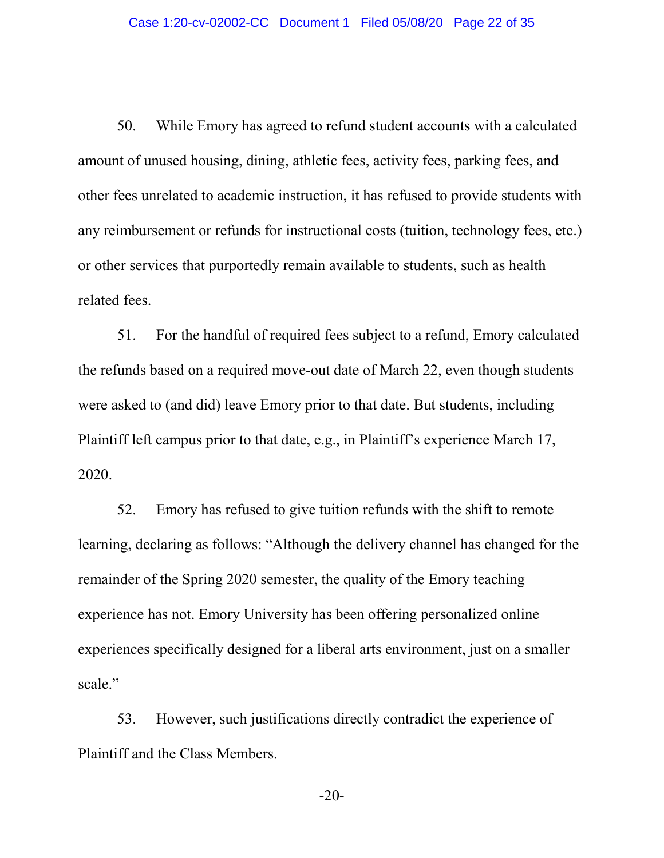50. While Emory has agreed to refund student accounts with a calculated amount of unused housing, dining, athletic fees, activity fees, parking fees, and other fees unrelated to academic instruction, it has refused to provide students with any reimbursement or refunds for instructional costs (tuition, technology fees, etc.) or other services that purportedly remain available to students, such as health related fees.

51. For the handful of required fees subject to a refund, Emory calculated the refunds based on a required move-out date of March 22, even though students were asked to (and did) leave Emory prior to that date. But students, including Plaintiff left campus prior to that date, e.g., in Plaintiff's experience March 17, 2020.

52. Emory has refused to give tuition refunds with the shift to remote learning, declaring as follows: "Although the delivery channel has changed for the remainder of the Spring 2020 semester, the quality of the Emory teaching experience has not. Emory University has been offering personalized online experiences specifically designed for a liberal arts environment, just on a smaller scale."

53. However, such justifications directly contradict the experience of Plaintiff and the Class Members.

-20-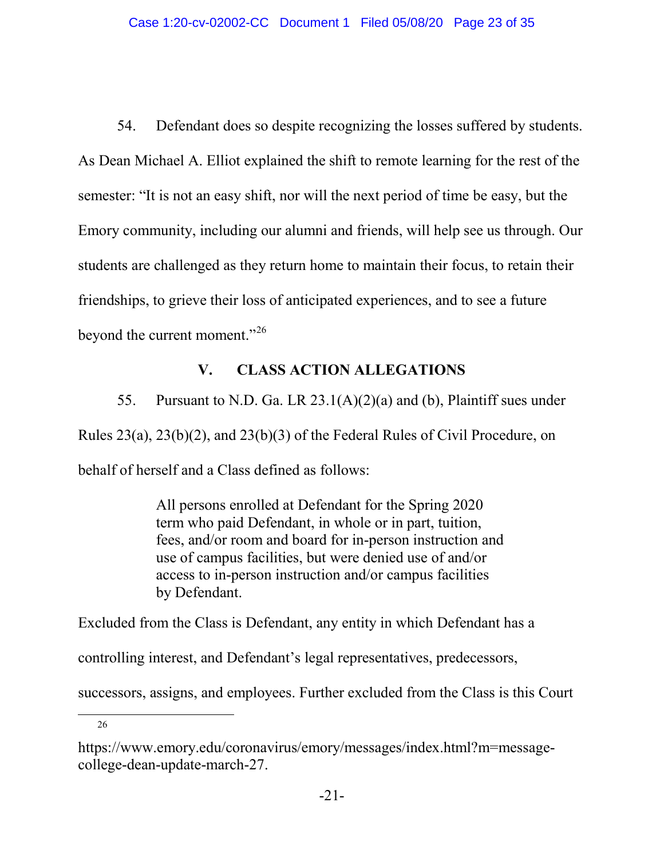54. Defendant does so despite recognizing the losses suffered by students. As Dean Michael A. Elliot explained the shift to remote learning for the rest of the semester: "It is not an easy shift, nor will the next period of time be easy, but the Emory community, including our alumni and friends, will help see us through. Our students are challenged as they return home to maintain their focus, to retain their friendships, to grieve their loss of anticipated experiences, and to see a future beyond the current moment."<sup>[26](#page-22-0)</sup>

# **V. CLASS ACTION ALLEGATIONS**

55. Pursuant to N.D. Ga. LR 23.1(A)(2)(a) and (b), Plaintiff sues under Rules 23(a), 23(b)(2), and 23(b)(3) of the Federal Rules of Civil Procedure, on behalf of herself and a Class defined as follows:

> All persons enrolled at Defendant for the Spring 2020 term who paid Defendant, in whole or in part, tuition, fees, and/or room and board for in-person instruction and use of campus facilities, but were denied use of and/or access to in-person instruction and/or campus facilities by Defendant.

Excluded from the Class is Defendant, any entity in which Defendant has a

controlling interest, and Defendant's legal representatives, predecessors,

successors, assigns, and employees. Further excluded from the Class is this Court

26

<span id="page-22-0"></span>https://www.emory.edu/coronavirus/emory/messages/index.html?m=messagecollege-dean-update-march-27.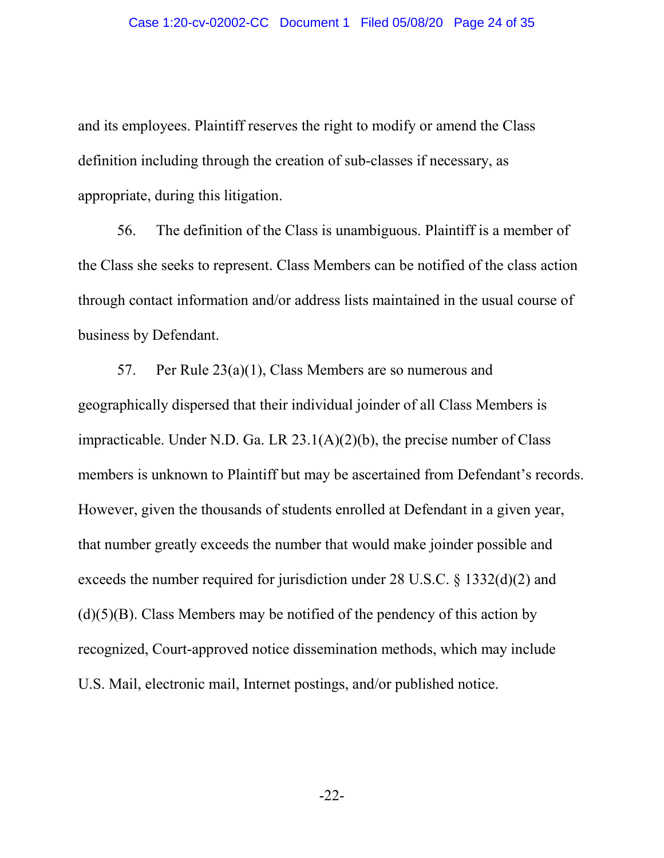and its employees. Plaintiff reserves the right to modify or amend the Class definition including through the creation of sub-classes if necessary, as appropriate, during this litigation.

56. The definition of the Class is unambiguous. Plaintiff is a member of the Class she seeks to represent. Class Members can be notified of the class action through contact information and/or address lists maintained in the usual course of business by Defendant.

57. Per Rule 23(a)(1), Class Members are so numerous and geographically dispersed that their individual joinder of all Class Members is impracticable. Under N.D. Ga. LR  $23.1(A)(2)(b)$ , the precise number of Class members is unknown to Plaintiff but may be ascertained from Defendant's records. However, given the thousands of students enrolled at Defendant in a given year, that number greatly exceeds the number that would make joinder possible and exceeds the number required for jurisdiction under 28 U.S.C. § 1332(d)(2) and  $(d)(5)(B)$ . Class Members may be notified of the pendency of this action by recognized, Court-approved notice dissemination methods, which may include U.S. Mail, electronic mail, Internet postings, and/or published notice.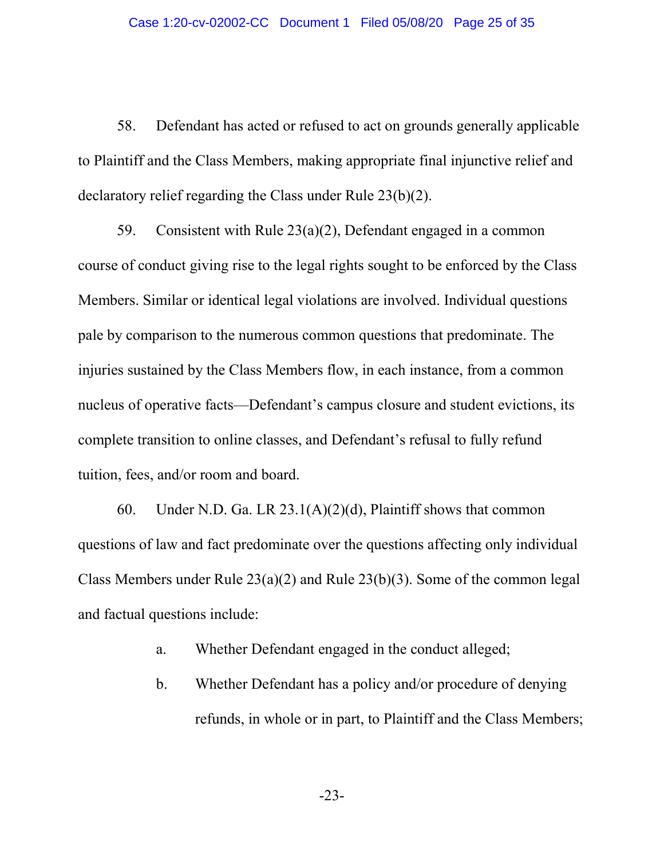58. Defendant has acted or refused to act on grounds generally applicable to Plaintiff and the Class Members, making appropriate final injunctive relief and declaratory relief regarding the Class under Rule 23(b)(2).

59. Consistent with Rule 23(a)(2), Defendant engaged in a common course of conduct giving rise to the legal rights sought to be enforced by the Class Members. Similar or identical legal violations are involved. Individual questions pale by comparison to the numerous common questions that predominate. The injuries sustained by the Class Members flow, in each instance, from a common nucleus of operative facts—Defendant's campus closure and student evictions, its complete transition to online classes, and Defendant's refusal to fully refund tuition, fees, and/or room and board.

60. Under N.D. Ga. LR 23.1(A)(2)(d), Plaintiff shows that common questions of law and fact predominate over the questions affecting only individual Class Members under Rule 23(a)(2) and Rule 23(b)(3). Some of the common legal and factual questions include:

- a. Whether Defendant engaged in the conduct alleged;
- b. Whether Defendant has a policy and/or procedure of denying refunds, in whole or in part, to Plaintiff and the Class Members;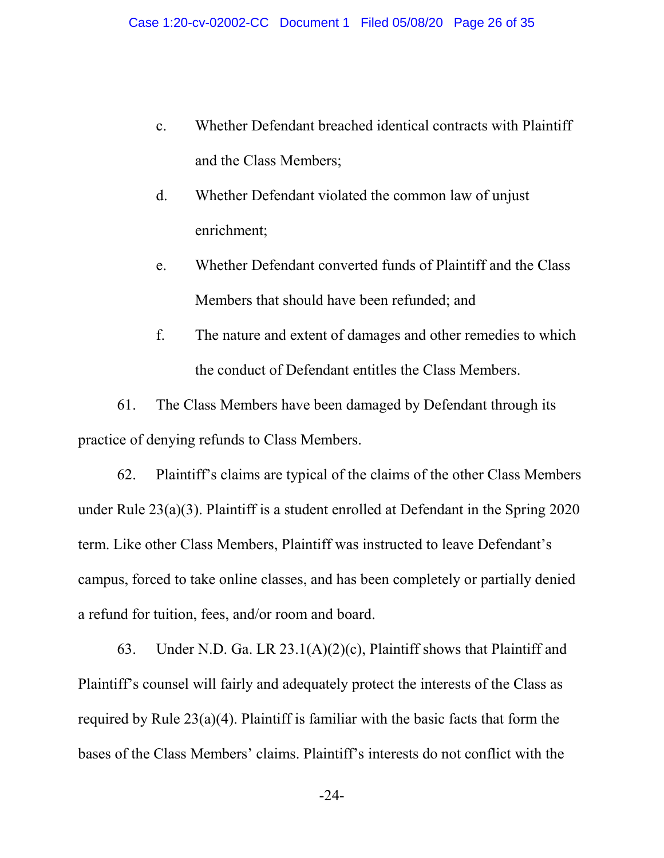- c. Whether Defendant breached identical contracts with Plaintiff and the Class Members;
- d. Whether Defendant violated the common law of unjust enrichment;
- e. Whether Defendant converted funds of Plaintiff and the Class Members that should have been refunded; and
- f. The nature and extent of damages and other remedies to which the conduct of Defendant entitles the Class Members.

61. The Class Members have been damaged by Defendant through its practice of denying refunds to Class Members.

62. Plaintiff's claims are typical of the claims of the other Class Members under Rule 23(a)(3). Plaintiff is a student enrolled at Defendant in the Spring 2020 term. Like other Class Members, Plaintiff was instructed to leave Defendant's campus, forced to take online classes, and has been completely or partially denied a refund for tuition, fees, and/or room and board.

63. Under N.D. Ga. LR 23.1(A)(2)(c), Plaintiff shows that Plaintiff and Plaintiff's counsel will fairly and adequately protect the interests of the Class as required by Rule 23(a)(4). Plaintiff is familiar with the basic facts that form the bases of the Class Members' claims. Plaintiff's interests do not conflict with the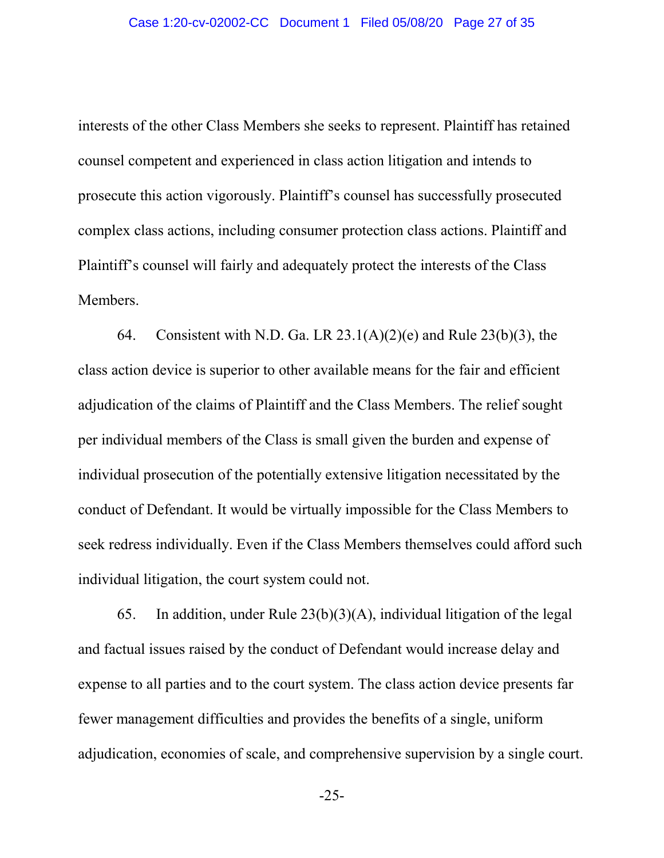interests of the other Class Members she seeks to represent. Plaintiff has retained counsel competent and experienced in class action litigation and intends to prosecute this action vigorously. Plaintiff's counsel has successfully prosecuted complex class actions, including consumer protection class actions. Plaintiff and Plaintiff's counsel will fairly and adequately protect the interests of the Class Members.

64. Consistent with N.D. Ga. LR  $23.1(A)(2)(e)$  and Rule  $23(b)(3)$ , the class action device is superior to other available means for the fair and efficient adjudication of the claims of Plaintiff and the Class Members. The relief sought per individual members of the Class is small given the burden and expense of individual prosecution of the potentially extensive litigation necessitated by the conduct of Defendant. It would be virtually impossible for the Class Members to seek redress individually. Even if the Class Members themselves could afford such individual litigation, the court system could not.

65. In addition, under Rule 23(b)(3)(A), individual litigation of the legal and factual issues raised by the conduct of Defendant would increase delay and expense to all parties and to the court system. The class action device presents far fewer management difficulties and provides the benefits of a single, uniform adjudication, economies of scale, and comprehensive supervision by a single court.

-25-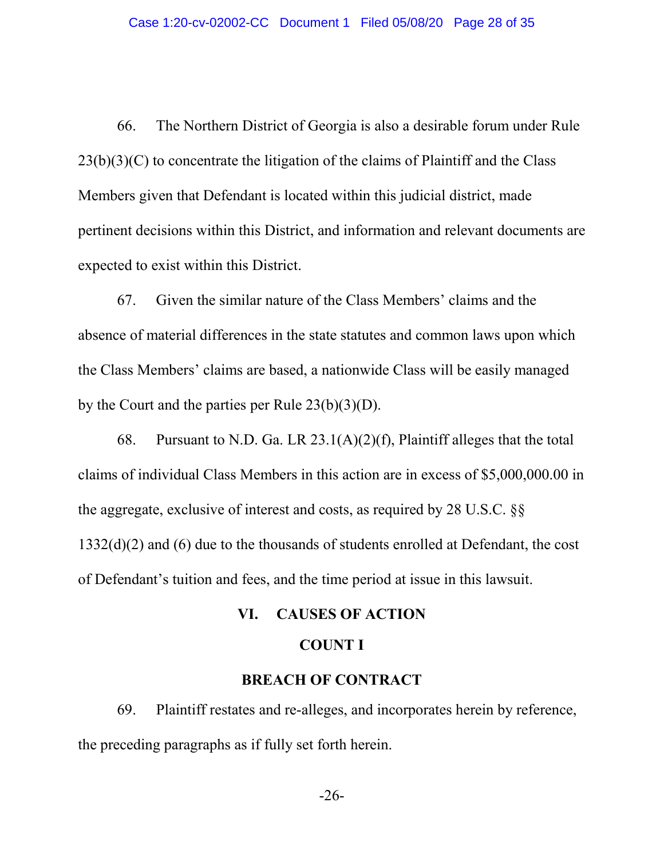66. The Northern District of Georgia is also a desirable forum under Rule  $23(b)(3)(C)$  to concentrate the litigation of the claims of Plaintiff and the Class Members given that Defendant is located within this judicial district, made pertinent decisions within this District, and information and relevant documents are expected to exist within this District.

67. Given the similar nature of the Class Members' claims and the absence of material differences in the state statutes and common laws upon which the Class Members' claims are based, a nationwide Class will be easily managed by the Court and the parties per Rule 23(b)(3)(D).

68. Pursuant to N.D. Ga. LR  $23.1(A)(2)(f)$ , Plaintiff alleges that the total claims of individual Class Members in this action are in excess of \$5,000,000.00 in the aggregate, exclusive of interest and costs, as required by 28 U.S.C. §§ 1332(d)(2) and (6) due to the thousands of students enrolled at Defendant, the cost of Defendant's tuition and fees, and the time period at issue in this lawsuit.

# **VI. CAUSES OF ACTION**

## **COUNT I**

# **BREACH OF CONTRACT**

69. Plaintiff restates and re-alleges, and incorporates herein by reference, the preceding paragraphs as if fully set forth herein.

-26-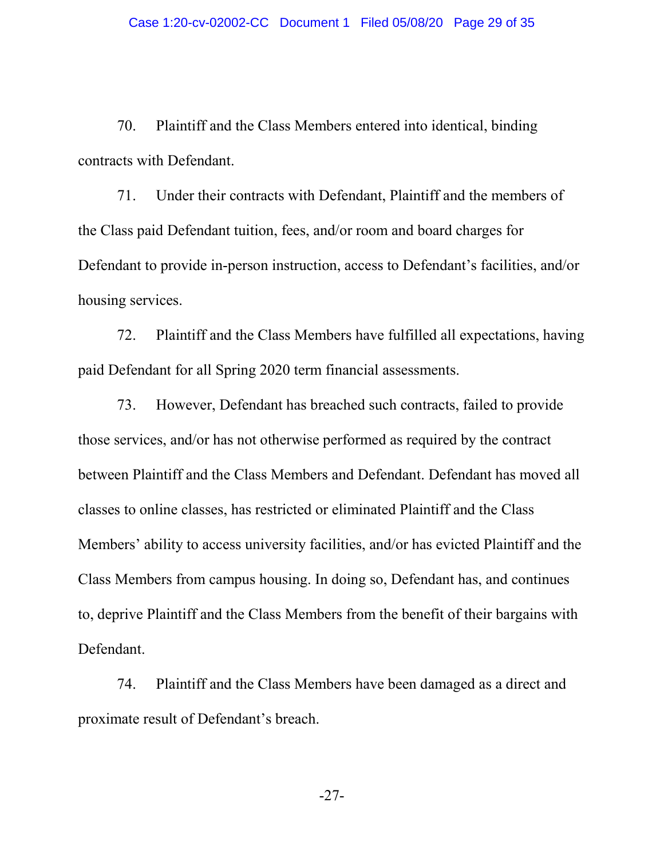70. Plaintiff and the Class Members entered into identical, binding contracts with Defendant.

71. Under their contracts with Defendant, Plaintiff and the members of the Class paid Defendant tuition, fees, and/or room and board charges for Defendant to provide in-person instruction, access to Defendant's facilities, and/or housing services.

72. Plaintiff and the Class Members have fulfilled all expectations, having paid Defendant for all Spring 2020 term financial assessments.

73. However, Defendant has breached such contracts, failed to provide those services, and/or has not otherwise performed as required by the contract between Plaintiff and the Class Members and Defendant. Defendant has moved all classes to online classes, has restricted or eliminated Plaintiff and the Class Members' ability to access university facilities, and/or has evicted Plaintiff and the Class Members from campus housing. In doing so, Defendant has, and continues to, deprive Plaintiff and the Class Members from the benefit of their bargains with Defendant.

74. Plaintiff and the Class Members have been damaged as a direct and proximate result of Defendant's breach.

-27-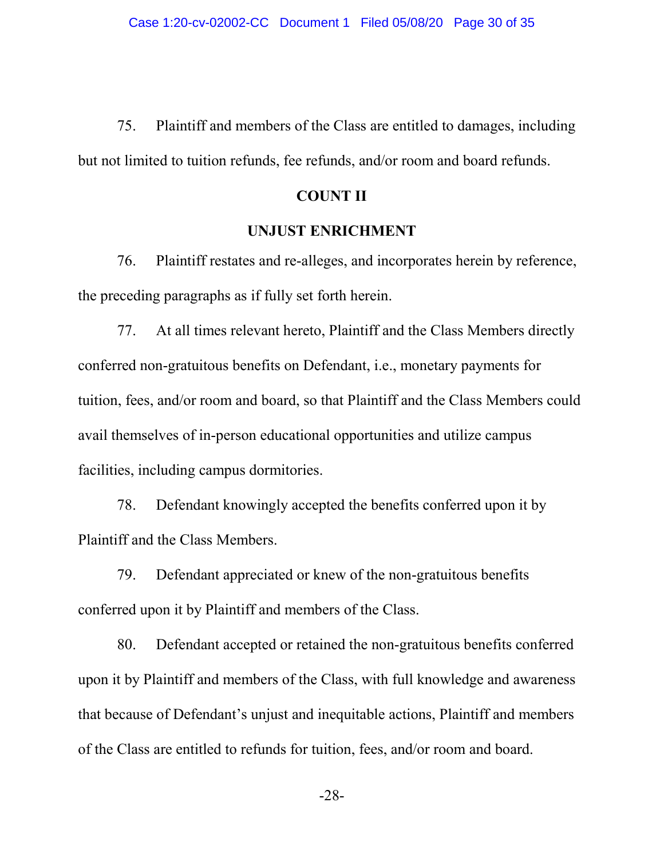75. Plaintiff and members of the Class are entitled to damages, including but not limited to tuition refunds, fee refunds, and/or room and board refunds.

#### **COUNT II**

#### **UNJUST ENRICHMENT**

76. Plaintiff restates and re-alleges, and incorporates herein by reference, the preceding paragraphs as if fully set forth herein.

77. At all times relevant hereto, Plaintiff and the Class Members directly conferred non-gratuitous benefits on Defendant, i.e., monetary payments for tuition, fees, and/or room and board, so that Plaintiff and the Class Members could avail themselves of in-person educational opportunities and utilize campus facilities, including campus dormitories.

78. Defendant knowingly accepted the benefits conferred upon it by Plaintiff and the Class Members.

79. Defendant appreciated or knew of the non-gratuitous benefits conferred upon it by Plaintiff and members of the Class.

80. Defendant accepted or retained the non-gratuitous benefits conferred upon it by Plaintiff and members of the Class, with full knowledge and awareness that because of Defendant's unjust and inequitable actions, Plaintiff and members of the Class are entitled to refunds for tuition, fees, and/or room and board.

-28-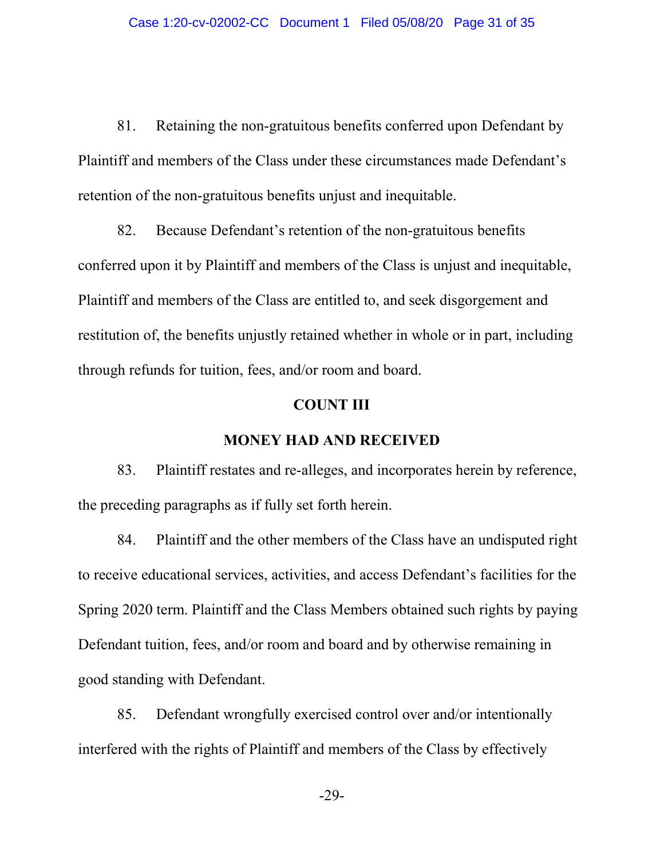81. Retaining the non-gratuitous benefits conferred upon Defendant by Plaintiff and members of the Class under these circumstances made Defendant's retention of the non-gratuitous benefits unjust and inequitable.

82. Because Defendant's retention of the non-gratuitous benefits conferred upon it by Plaintiff and members of the Class is unjust and inequitable, Plaintiff and members of the Class are entitled to, and seek disgorgement and restitution of, the benefits unjustly retained whether in whole or in part, including through refunds for tuition, fees, and/or room and board.

### **COUNT III**

### **MONEY HAD AND RECEIVED**

83. Plaintiff restates and re-alleges, and incorporates herein by reference, the preceding paragraphs as if fully set forth herein.

84. Plaintiff and the other members of the Class have an undisputed right to receive educational services, activities, and access Defendant's facilities for the Spring 2020 term. Plaintiff and the Class Members obtained such rights by paying Defendant tuition, fees, and/or room and board and by otherwise remaining in good standing with Defendant.

85. Defendant wrongfully exercised control over and/or intentionally interfered with the rights of Plaintiff and members of the Class by effectively

-29-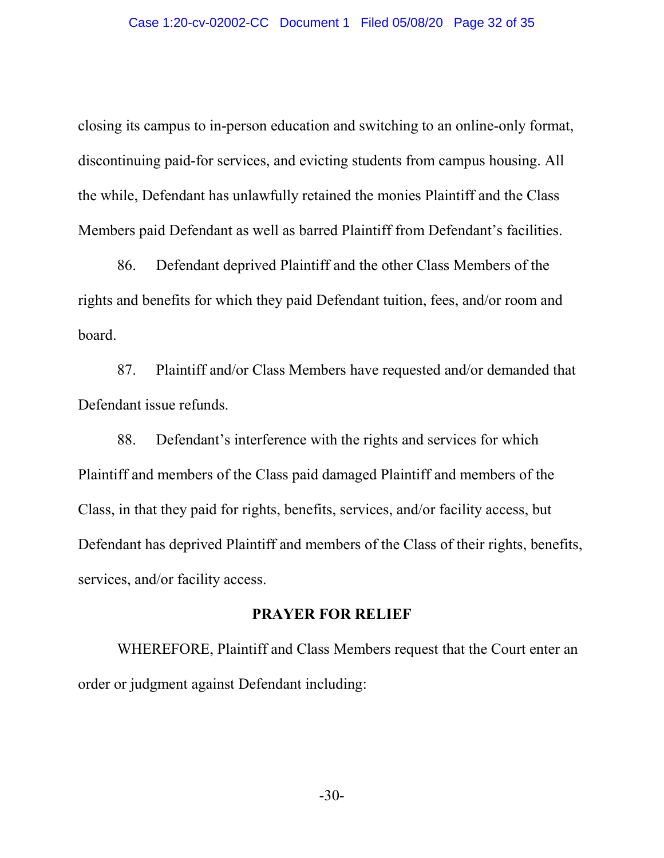closing its campus to in-person education and switching to an online-only format, discontinuing paid-for services, and evicting students from campus housing. All the while, Defendant has unlawfully retained the monies Plaintiff and the Class Members paid Defendant as well as barred Plaintiff from Defendant's facilities.

86. Defendant deprived Plaintiff and the other Class Members of the rights and benefits for which they paid Defendant tuition, fees, and/or room and board.

87. Plaintiff and/or Class Members have requested and/or demanded that Defendant issue refunds.

88. Defendant's interference with the rights and services for which Plaintiff and members of the Class paid damaged Plaintiff and members of the Class, in that they paid for rights, benefits, services, and/or facility access, but Defendant has deprived Plaintiff and members of the Class of their rights, benefits, services, and/or facility access.

#### **PRAYER FOR RELIEF**

WHEREFORE, Plaintiff and Class Members request that the Court enter an order or judgment against Defendant including: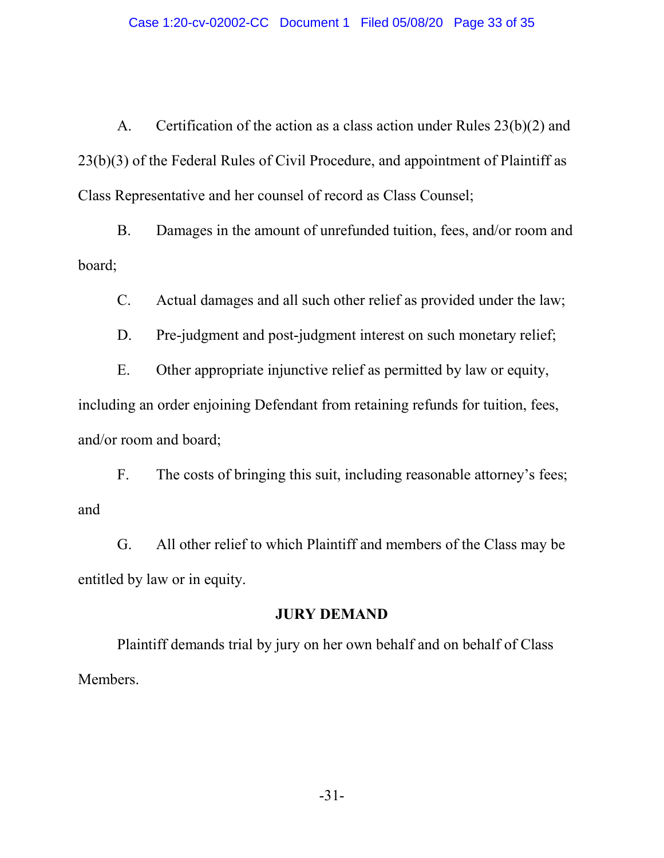A. Certification of the action as a class action under Rules 23(b)(2) and 23(b)(3) of the Federal Rules of Civil Procedure, and appointment of Plaintiff as Class Representative and her counsel of record as Class Counsel;

B. Damages in the amount of unrefunded tuition, fees, and/or room and board;

C. Actual damages and all such other relief as provided under the law;

D. Pre-judgment and post-judgment interest on such monetary relief;

E. Other appropriate injunctive relief as permitted by law or equity, including an order enjoining Defendant from retaining refunds for tuition, fees, and/or room and board;

F. The costs of bringing this suit, including reasonable attorney's fees; and

G. All other relief to which Plaintiff and members of the Class may be entitled by law or in equity.

### **JURY DEMAND**

Plaintiff demands trial by jury on her own behalf and on behalf of Class Members.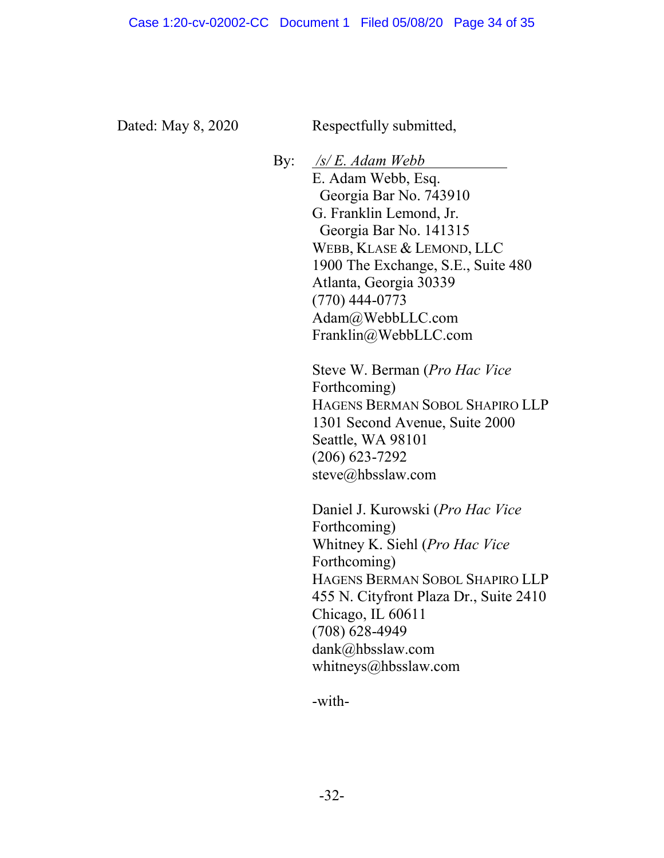Dated: May 8, 2020 Respectfully submitted,

By: */s/ E. Adam Webb* E. Adam Webb, Esq. Georgia Bar No. 743910 G. Franklin Lemond, Jr. Georgia Bar No. 141315 WEBB, KLASE & LEMOND, LLC 1900 The Exchange, S.E., Suite 480 Atlanta, Georgia 30339 (770) 444-0773 Adam@WebbLLC.com Franklin@WebbLLC.com

> Steve W. Berman (*Pro Hac Vice* Forthcoming) HAGENS BERMAN SOBOL SHAPIRO LLP 1301 Second Avenue, Suite 2000 Seattle, WA 98101 (206) 623-7292 steve@hbsslaw.com

> Daniel J. Kurowski (*Pro Hac Vice* Forthcoming) Whitney K. Siehl (*Pro Hac Vice* Forthcoming) HAGENS BERMAN SOBOL SHAPIRO LLP 455 N. Cityfront Plaza Dr., Suite 2410 Chicago, IL 60611 (708) 628-4949 dank@hbsslaw.com whitneys@hbsslaw.com

-with-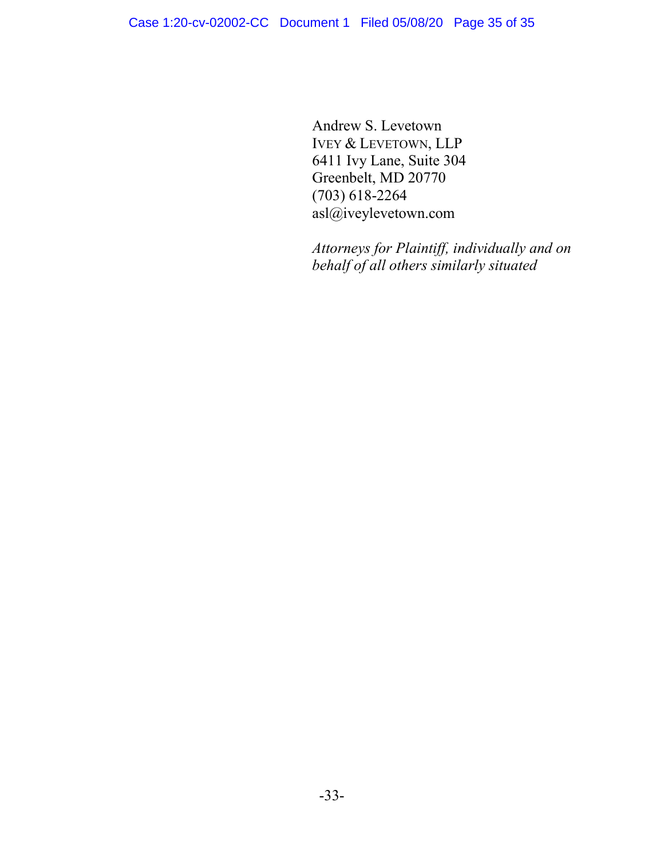Andrew S. Levetown IVEY & LEVETOWN, LLP 6411 Ivy Lane, Suite 304 Greenbelt, MD 20770 (703) 618-2264 asl@iveylevetown.com

*Attorneys for Plaintiff, individually and on behalf of all others similarly situated*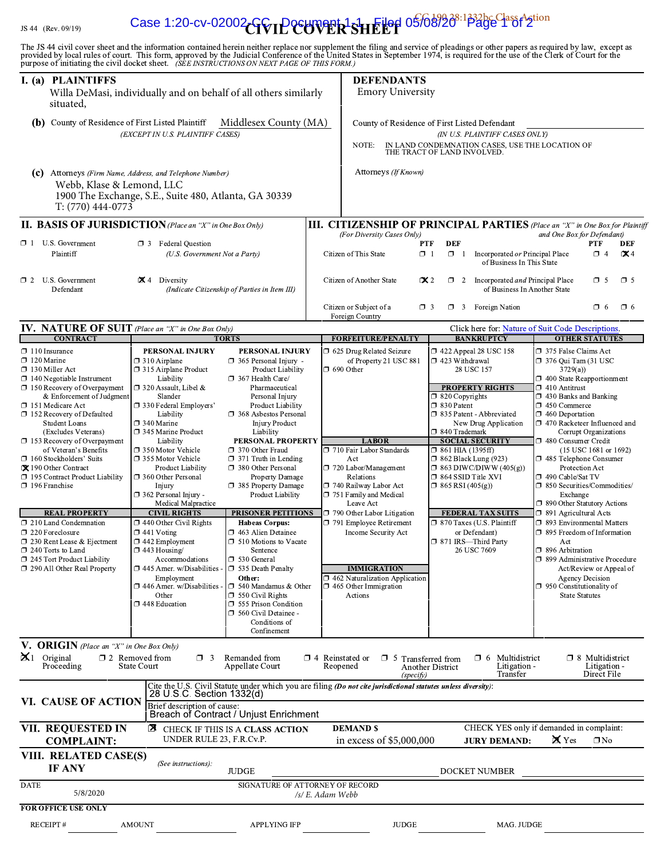#### JS 44 (Rev. 09

#### $\mathbf{C}$  and  $\mathbf{C}$  is  $\mathbf{C}$  is  $\mathbf{C}$  if  $\mathbf{C}$  is  $\mathbf{C}$  is  $\mathbf{C}$  if  $\mathbf{C}$ Case 1:20-cv-02002-GC<sub>U</sub> Document 1-1 Filed 05/08/20<sup>8:1332bc Class Action</sup>

| I. (a) PLAINTIFFS<br>situated,                                                                                                                                                                                                                                                                                                                                                                                                                                                                                                                                                                                                     | Willa DeMasi, individually and on behalf of all others similarly                                                                                                                                                                                                                                                                                                                                                                                                                                                                                                                                                            |                                                                      |                                                                                                                                                                                                                                                                                                                                                                                                                                                                                                                                                                                                                                                                                               |                                                                                                                                                                            | purpose of initiating the civil docket sheet. (SEE INSTRUCTIONS ON NEXT PAGE OF THIS FORM.)<br><b>DEFENDANTS</b><br><b>Emory University</b>                                                                                                                                                                                                                                                  |                                                                                                                                         |                                                                                                                                                                                                                                                                                                                                       |                                                                                                                                                                                                                                                                                                                                                                                                                                                                                                                                                                                                                                                                   |                                                                           |  |
|------------------------------------------------------------------------------------------------------------------------------------------------------------------------------------------------------------------------------------------------------------------------------------------------------------------------------------------------------------------------------------------------------------------------------------------------------------------------------------------------------------------------------------------------------------------------------------------------------------------------------------|-----------------------------------------------------------------------------------------------------------------------------------------------------------------------------------------------------------------------------------------------------------------------------------------------------------------------------------------------------------------------------------------------------------------------------------------------------------------------------------------------------------------------------------------------------------------------------------------------------------------------------|----------------------------------------------------------------------|-----------------------------------------------------------------------------------------------------------------------------------------------------------------------------------------------------------------------------------------------------------------------------------------------------------------------------------------------------------------------------------------------------------------------------------------------------------------------------------------------------------------------------------------------------------------------------------------------------------------------------------------------------------------------------------------------|----------------------------------------------------------------------------------------------------------------------------------------------------------------------------|----------------------------------------------------------------------------------------------------------------------------------------------------------------------------------------------------------------------------------------------------------------------------------------------------------------------------------------------------------------------------------------------|-----------------------------------------------------------------------------------------------------------------------------------------|---------------------------------------------------------------------------------------------------------------------------------------------------------------------------------------------------------------------------------------------------------------------------------------------------------------------------------------|-------------------------------------------------------------------------------------------------------------------------------------------------------------------------------------------------------------------------------------------------------------------------------------------------------------------------------------------------------------------------------------------------------------------------------------------------------------------------------------------------------------------------------------------------------------------------------------------------------------------------------------------------------------------|---------------------------------------------------------------------------|--|
| (b)                                                                                                                                                                                                                                                                                                                                                                                                                                                                                                                                                                                                                                | County of Residence of First Listed Plaintiff<br>(EXCEPT IN U.S. PLAINTIFF CASES)                                                                                                                                                                                                                                                                                                                                                                                                                                                                                                                                           |                                                                      | Middlesex County (MA)                                                                                                                                                                                                                                                                                                                                                                                                                                                                                                                                                                                                                                                                         | County of Residence of First Listed Defendant<br>(IN U.S. PLAINTIFF CASES ONLY)<br>IN LAND CONDEMNATION CASES, USE THE LOCATION OF<br>NOTE:<br>THE TRACT OF LAND INVOLVED. |                                                                                                                                                                                                                                                                                                                                                                                              |                                                                                                                                         |                                                                                                                                                                                                                                                                                                                                       |                                                                                                                                                                                                                                                                                                                                                                                                                                                                                                                                                                                                                                                                   |                                                                           |  |
| $T: (770)$ 444-0773                                                                                                                                                                                                                                                                                                                                                                                                                                                                                                                                                                                                                | (c) Attorneys (Firm Name, Address, and Telephone Number)<br>Webb, Klase & Lemond, LLC<br>1900 The Exchange, S.E., Suite 480, Atlanta, GA 30339                                                                                                                                                                                                                                                                                                                                                                                                                                                                              |                                                                      |                                                                                                                                                                                                                                                                                                                                                                                                                                                                                                                                                                                                                                                                                               |                                                                                                                                                                            | Attorneys (If Known)                                                                                                                                                                                                                                                                                                                                                                         |                                                                                                                                         |                                                                                                                                                                                                                                                                                                                                       |                                                                                                                                                                                                                                                                                                                                                                                                                                                                                                                                                                                                                                                                   |                                                                           |  |
| $\Box$ 1 U.S. Government<br>Plaintiff                                                                                                                                                                                                                                                                                                                                                                                                                                                                                                                                                                                              | <b>II. BASIS OF JURISDICTION</b> (Place an "X" in One Box Only)<br><b>1</b> 3 Federal Question                                                                                                                                                                                                                                                                                                                                                                                                                                                                                                                              | (U.S. Government Not a Party)                                        |                                                                                                                                                                                                                                                                                                                                                                                                                                                                                                                                                                                                                                                                                               |                                                                                                                                                                            | <b>III. CITIZENSHIP OF PRINCIPAL PARTIES</b> (Place an "X" in One Box for Plaintiff<br>(For Diversity Cases Only)<br>Citizen of This State                                                                                                                                                                                                                                                   | DEF<br><b>PTF</b><br>$\Box$ 1<br>$\Box$ 1                                                                                               | Incorporated or Principal Place                                                                                                                                                                                                                                                                                                       | and One Box for Defendant)                                                                                                                                                                                                                                                                                                                                                                                                                                                                                                                                                                                                                                        | <b>PTF</b><br>DEF<br>$\Box$ 4<br>$\mathbf{\propto}$ 4                     |  |
| $\Box$ 2 U.S. Government<br>Defendant                                                                                                                                                                                                                                                                                                                                                                                                                                                                                                                                                                                              | $\mathbf{X}$ 4 Diversity                                                                                                                                                                                                                                                                                                                                                                                                                                                                                                                                                                                                    |                                                                      | (Indicate Citizenship of Parties in Item III)                                                                                                                                                                                                                                                                                                                                                                                                                                                                                                                                                                                                                                                 |                                                                                                                                                                            | Citizen of Another State                                                                                                                                                                                                                                                                                                                                                                     | $\mathbf{X}$ 2                                                                                                                          | of Business In This State<br>$\Box$ 2 Incorporated <i>and</i> Principal Place<br>of Business In Another State                                                                                                                                                                                                                         |                                                                                                                                                                                                                                                                                                                                                                                                                                                                                                                                                                                                                                                                   | $\Box$ 5<br>$\Box$ 5                                                      |  |
|                                                                                                                                                                                                                                                                                                                                                                                                                                                                                                                                                                                                                                    |                                                                                                                                                                                                                                                                                                                                                                                                                                                                                                                                                                                                                             |                                                                      |                                                                                                                                                                                                                                                                                                                                                                                                                                                                                                                                                                                                                                                                                               |                                                                                                                                                                            | Citizen or Subject of a<br>Foreign Country                                                                                                                                                                                                                                                                                                                                                   | $\Box$ 3                                                                                                                                | $\Box$ 3 Foreign Nation                                                                                                                                                                                                                                                                                                               |                                                                                                                                                                                                                                                                                                                                                                                                                                                                                                                                                                                                                                                                   | $\Box$ 6 $\Box$ 6                                                         |  |
| <b>CONTRACT</b>                                                                                                                                                                                                                                                                                                                                                                                                                                                                                                                                                                                                                    | IV. NATURE OF SUIT (Place an "X" in One Box Only)                                                                                                                                                                                                                                                                                                                                                                                                                                                                                                                                                                           | <b>TORTS</b>                                                         |                                                                                                                                                                                                                                                                                                                                                                                                                                                                                                                                                                                                                                                                                               |                                                                                                                                                                            | <b>FORFEITURE/PENALTY</b>                                                                                                                                                                                                                                                                                                                                                                    |                                                                                                                                         | Click here for: Nature of Suit Code Descriptions.<br><b>BANKRUPTCY</b>                                                                                                                                                                                                                                                                | <b>OTHER STATUTES</b>                                                                                                                                                                                                                                                                                                                                                                                                                                                                                                                                                                                                                                             |                                                                           |  |
| $\Box$ 120 Marine<br>$\Box$ 130 Miller Act<br>$\Box$ 140 Negotiable Instrument<br>$\Box$ 150 Recovery of Overpayment<br>& Enforcement of Judgment<br>□ 151 Medicare Act<br>□ 152 Recovery of Defaulted<br><b>Student Loans</b><br>(Excludes Veterans)<br>□ 153 Recovery of Overpayment<br>of Veteran's Benefits<br>160 Stockholders' Suits<br>X 190 Other Contract<br>□ 195 Contract Product Liability<br>196 Franchise<br><b>REAL PROPERTY</b><br>210 Land Condemnation<br>□ 220 Foreclosure<br>□ 230 Rent Lease & Ejectment<br>$\square$ 240 Torts to Land<br>$\Box$ 245 Tort Product Liability<br>□ 290 All Other Real Property | $\Box$ 310 Airplane<br>$\Box$ 315 Airplane Product<br>Liability<br>$\Box$ 320 Assault, Libel &<br>Slander<br>□ 330 Federal Employers'<br>Liability<br>$\Box$ 340 Marine<br>345 Marine Product<br>Liability<br>$\Box$ 350 Motor Vehicle<br>□ 355 Motor Vehicle<br>□ 360 Other Personal<br>Injury<br>362 Personal Injury -<br><b>CIVIL RIGHTS</b><br>$\Box$ 440 Other Civil Rights<br>$\Box$ 441 Voting<br>$\square$ 442 Employment<br>$\Box$ 443 Housing/<br>$\square$ 445 Amer. w/Disabilities -<br>Employment<br>$\Box$ 446 Amer. w/Disabilities -<br>Other<br>□ 448 Education<br>V. ORIGIN (Place an "X" in One Box Only) | <b>Product Liability</b><br>Medical Malpractice<br>Accommodations    | $\Box$ 365 Personal Injury -<br>Product Liability<br>$\Box$ 367 Health Care/<br>Pharmaceutical<br>Personal Injury<br>Product Liability<br>□ 368 Asbestos Personal<br><b>Injury Product</b><br>Liability<br>PERSONAL PROPERTY<br>□ 370 Other Fraud<br>$\Box$ 371 Truth in Lending<br>380 Other Personal<br>Property Damage<br>□ 385 Property Damage<br>Product Liability<br><b>PRISONER PETITIONS</b><br><b>Habeas Corpus:</b><br>□ 463 Alien Detainee<br>$\Box$ 510 Motions to Vacate<br>Sentence<br>□ 530 General<br>□ 535 Death Penalty<br>Other:<br>$\Box$ 540 Mandamus & Other<br>$\Box$ 550 Civil Rights<br>555 Prison Condition<br>560 Civil Detainee -<br>Conditions of<br>Confinement |                                                                                                                                                                            | of Property 21 USC 881<br>$\Box$ 690 Other<br><b>LABOR</b><br>710 Fair Labor Standards<br>Act<br>720 Labor/Management<br>Relations<br>740 Railway Labor Act<br>751 Family and Medical<br>Leave Act<br>790 Other Labor Litigation<br>791 Employee Retirement<br>Income Security Act<br><b>IMMIGRATION</b><br>$\Box$ 462 Naturalization Application<br>$\Box$ 465 Other Immigration<br>Actions | $\Box$ 423 Withdrawal<br>$\Box$ 820 Copyrights<br>□ 830 Patent<br>□ 840 Trademark<br>$\Box$ 861 HIA (1395ff)<br>$\Box$ 865 RSI (405(g)) | 28 USC 157<br><b>PROPERTY RIGHTS</b><br>□ 835 Patent - Abbreviated<br>New Drug Application<br><b>SOCIAL SECURITY</b><br>$\Box$ 862 Black Lung (923)<br>$\Box$ 863 DIWC/DIWW (405(g))<br>$\Box$ 864 SSID Title XVI<br><b>FEDERAL TAX SUITS</b><br>□ 870 Taxes (U.S. Plaintiff<br>or Defendant)<br>□ 871 IRS-Third Party<br>26 USC 7609 | $\Box$ 376 Qui Tam (31 USC<br>3729(a)<br>$\Box$ 400 State Reapportionment<br>$\Box$ 410 Antitrust<br>$\Box$ 430 Banks and Banking<br>$\square$ 450 Commerce<br>$\Box$ 460 Deportation<br>$\Box$ 470 Racketeer Influenced and<br>□ 480 Consumer Credit<br>1485 Telephone Consumer<br>Protection Act<br>□ 490 Cable/Sat TV<br>□ 850 Securities/Commodities/<br>Exchange<br>$\Box$ 890 Other Statutory Actions<br>$\Box$ 891 Agricultural Acts<br>□ 893 Environmental Matters<br>□ 895 Freedom of Information<br>Act<br>□ 896 Arbitration<br>□ 899 Administrative Procedure<br><b>Agency Decision</b><br>$\square$ 950 Constitutionality of<br><b>State Statutes</b> | Corrupt Organizations<br>(15 USC 1681 or 1692)<br>Act/Review or Appeal of |  |
| $\mathbf{X}$ 1 Original<br>Proceeding<br>VI. CAUSE OF ACTION                                                                                                                                                                                                                                                                                                                                                                                                                                                                                                                                                                       | $\Box$ 2 Removed from<br><b>State Court</b>                                                                                                                                                                                                                                                                                                                                                                                                                                                                                                                                                                                 | $\Box$ 3<br>28 U.S.C. Section 1332(d)<br>Brief description of cause: | Remanded from<br>Appellate Court                                                                                                                                                                                                                                                                                                                                                                                                                                                                                                                                                                                                                                                              |                                                                                                                                                                            | $\Box$ 4 Reinstated or $\Box$ 5 Transferred from<br>Reopened<br>(specify)<br>Cite the U.S. Civil Statute under which you are filing (Do not cite jurisdictional statutes unless diversity):                                                                                                                                                                                                  | Another District                                                                                                                        | $\Box$ 6 Multidistrict<br>Litigation -<br>Transfer                                                                                                                                                                                                                                                                                    |                                                                                                                                                                                                                                                                                                                                                                                                                                                                                                                                                                                                                                                                   | $\Box$ 8 Multidistrict<br>Litigation -<br>Direct File                     |  |
| VII. REQUESTED IN                                                                                                                                                                                                                                                                                                                                                                                                                                                                                                                                                                                                                  |                                                                                                                                                                                                                                                                                                                                                                                                                                                                                                                                                                                                                             |                                                                      | Breach of Contract / Unjust Enrichment<br><b>E</b> CHECK IF THIS IS A CLASS ACTION                                                                                                                                                                                                                                                                                                                                                                                                                                                                                                                                                                                                            |                                                                                                                                                                            | <b>DEMAND \$</b>                                                                                                                                                                                                                                                                                                                                                                             |                                                                                                                                         | CHECK YES only if demanded in complaint:                                                                                                                                                                                                                                                                                              |                                                                                                                                                                                                                                                                                                                                                                                                                                                                                                                                                                                                                                                                   |                                                                           |  |
| <b>COMPLAINT:</b><br>VIII. RELATED CASE(S)                                                                                                                                                                                                                                                                                                                                                                                                                                                                                                                                                                                         |                                                                                                                                                                                                                                                                                                                                                                                                                                                                                                                                                                                                                             | UNDER RULE 23, F.R.Cv.P.                                             |                                                                                                                                                                                                                                                                                                                                                                                                                                                                                                                                                                                                                                                                                               |                                                                                                                                                                            | in excess of $$5,000,000$                                                                                                                                                                                                                                                                                                                                                                    |                                                                                                                                         | <b>JURY DEMAND:</b>                                                                                                                                                                                                                                                                                                                   | $\mathbf{X}$ Yes                                                                                                                                                                                                                                                                                                                                                                                                                                                                                                                                                                                                                                                  | $\square$ No                                                              |  |
| <b>IF ANY</b>                                                                                                                                                                                                                                                                                                                                                                                                                                                                                                                                                                                                                      |                                                                                                                                                                                                                                                                                                                                                                                                                                                                                                                                                                                                                             | (See instructions):                                                  | <b>JUDGE</b>                                                                                                                                                                                                                                                                                                                                                                                                                                                                                                                                                                                                                                                                                  |                                                                                                                                                                            |                                                                                                                                                                                                                                                                                                                                                                                              |                                                                                                                                         | DOCKET NUMBER                                                                                                                                                                                                                                                                                                                         |                                                                                                                                                                                                                                                                                                                                                                                                                                                                                                                                                                                                                                                                   |                                                                           |  |
| <b>DATE</b>                                                                                                                                                                                                                                                                                                                                                                                                                                                                                                                                                                                                                        |                                                                                                                                                                                                                                                                                                                                                                                                                                                                                                                                                                                                                             |                                                                      | SIGNATURE OF ATTORNEY OF RECORD                                                                                                                                                                                                                                                                                                                                                                                                                                                                                                                                                                                                                                                               |                                                                                                                                                                            |                                                                                                                                                                                                                                                                                                                                                                                              |                                                                                                                                         |                                                                                                                                                                                                                                                                                                                                       |                                                                                                                                                                                                                                                                                                                                                                                                                                                                                                                                                                                                                                                                   |                                                                           |  |